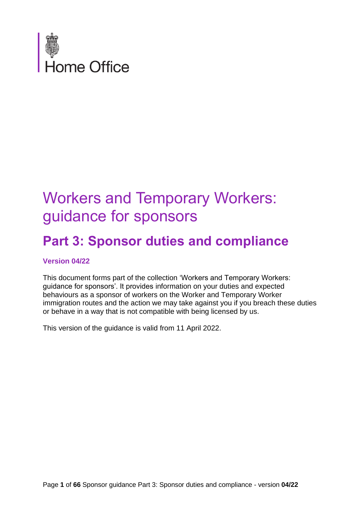

## Workers and Temporary Workers: guidance for sponsors

## **Part 3: Sponsor duties and compliance**

#### **Version 04/22**

This document forms part of the collection 'Workers and Temporary Workers: guidance for sponsors'. It provides information on your duties and expected behaviours as a sponsor of workers on the Worker and Temporary Worker immigration routes and the action we may take against you if you breach these duties or behave in a way that is not compatible with being licensed by us.

This version of the guidance is valid from 11 April 2022.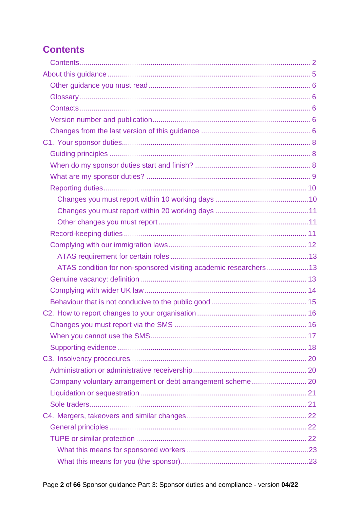<span id="page-1-0"></span>

| ATAS condition for non-sponsored visiting academic researchers13 |  |
|------------------------------------------------------------------|--|
|                                                                  |  |
|                                                                  |  |
|                                                                  |  |
|                                                                  |  |
|                                                                  |  |
|                                                                  |  |
|                                                                  |  |
|                                                                  |  |
|                                                                  |  |
| Company voluntary arrangement or debt arrangement scheme 20      |  |
|                                                                  |  |
|                                                                  |  |
|                                                                  |  |
|                                                                  |  |
|                                                                  |  |
|                                                                  |  |
|                                                                  |  |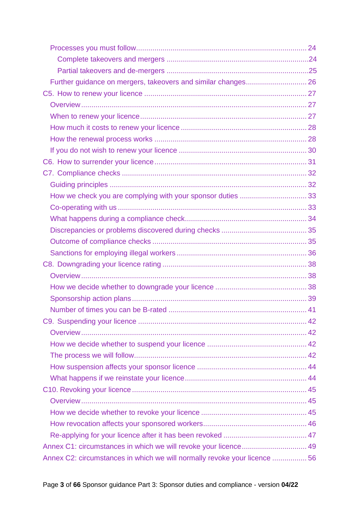| Annex C1: circumstances in which we will revoke your licence 49           |  |
|---------------------------------------------------------------------------|--|
| Annex C2: circumstances in which we will normally revoke your licence  56 |  |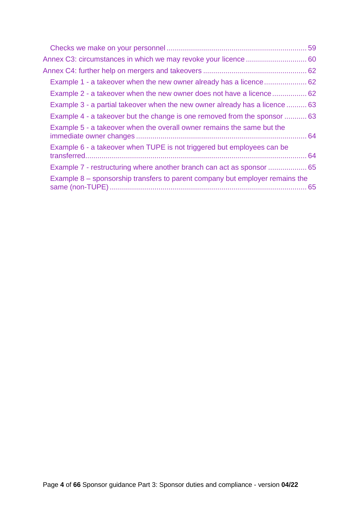| Example 3 - a partial takeover when the new owner already has a licence  63  |  |
|------------------------------------------------------------------------------|--|
| Example 4 - a takeover but the change is one removed from the sponsor  63    |  |
| Example 5 - a takeover when the overall owner remains the same but the       |  |
| Example 6 - a takeover when TUPE is not triggered but employees can be       |  |
| Example 7 - restructuring where another branch can act as sponsor  65        |  |
| Example 8 – sponsorship transfers to parent company but employer remains the |  |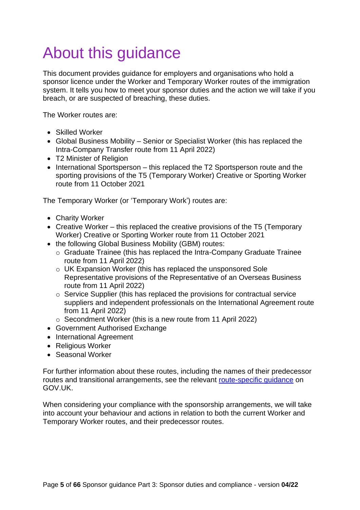# <span id="page-4-0"></span>About this guidance

This document provides guidance for employers and organisations who hold a sponsor licence under the Worker and Temporary Worker routes of the immigration system. It tells you how to meet your sponsor duties and the action we will take if you breach, or are suspected of breaching, these duties.

The Worker routes are:

- Skilled Worker
- Global Business Mobility Senior or Specialist Worker (this has replaced the Intra-Company Transfer route from 11 April 2022)
- T2 Minister of Religion
- International Sportsperson this replaced the T2 Sportsperson route and the sporting provisions of the T5 (Temporary Worker) Creative or Sporting Worker route from 11 October 2021

The Temporary Worker (or 'Temporary Work') routes are:

- Charity Worker
- Creative Worker this replaced the creative provisions of the T5 (Temporary Worker) Creative or Sporting Worker route from 11 October 2021
- the following Global Business Mobility (GBM) routes:
	- o Graduate Trainee (this has replaced the Intra-Company Graduate Trainee route from 11 April 2022)
	- o UK Expansion Worker (this has replaced the unsponsored Sole Representative provisions of the Representative of an Overseas Business route from 11 April 2022)
	- o Service Supplier (this has replaced the provisions for contractual service suppliers and independent professionals on the International Agreement route from 11 April 2022)
	- o Secondment Worker (this is a new route from 11 April 2022)
- Government Authorised Exchange
- International Agreement
- Religious Worker
- Seasonal Worker

For further information about these routes, including the names of their predecessor routes and transitional arrangements, see the relevant [route-specific guidance](https://www.gov.uk/government/collections/sponsorship-information-for-employers-and-educators) on GOV.UK.

When considering your compliance with the sponsorship arrangements, we will take into account your behaviour and actions in relation to both the current Worker and Temporary Worker routes, and their predecessor routes.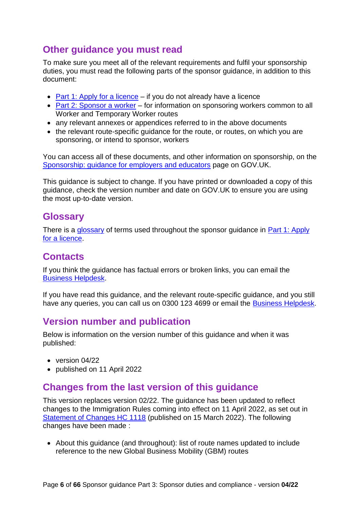## <span id="page-5-0"></span>**Other guidance you must read**

To make sure you meet all of the relevant requirements and fulfil your sponsorship duties, you must read the following parts of the sponsor guidance, in addition to this document:

- [Part 1: Apply for a licence](https://www.gov.uk/government/publications/workers-and-temporary-workers-guidance-for-sponsors-part-1-apply-for-a-licence) if you do not already have a licence
- [Part 2: Sponsor a worker](https://www.gov.uk/government/publications/workers-and-temporary-workers-guidance-for-sponsors-part-2-sponsor-a-worker) for information on sponsoring workers common to all Worker and Temporary Worker routes
- any relevant annexes or appendices referred to in the above documents
- the relevant route-specific quidance for the route, or routes, on which you are sponsoring, or intend to sponsor, workers

You can access all of these documents, and other information on sponsorship, on the [Sponsorship: guidance for employers and educators](https://www.gov.uk/government/collections/sponsorship-information-for-employers-and-educators) page on GOV.UK.

This guidance is subject to change. If you have printed or downloaded a copy of this guidance, check the version number and date on GOV.UK to ensure you are using the most up-to-date version.

## <span id="page-5-1"></span>**Glossary**

There is a [glossary](https://www.gov.uk/government/publications/workers-and-temporary-workers-guidance-for-sponsors-part-1-apply-for-a-licence/workers-and-temporary-workers-guidance-for-sponsors-part-1-apply-for-a-licence-accessible-version#glossary) of terms used throughout the sponsor guidance in Part 1: Apply [for a licence.](https://www.gov.uk/government/publications/workers-and-temporary-workers-guidance-for-sponsors-part-1-apply-for-a-licence)

## <span id="page-5-2"></span>**Contacts**

If you think the guidance has factual errors or broken links, you can email the [Business Helpdesk.](mailto:BusinessHelpdesk@homeoffice.gov.uk)

If you have read this guidance, and the relevant route-specific guidance, and you still have any queries, you can call us on 0300 123 4699 or email the [Business Helpdesk.](mailto:BusinessHelpdesk@homeoffice.gov.uk)

## <span id="page-5-3"></span>**Version number and publication**

Below is information on the version number of this guidance and when it was published:

- version 04/22
- published on 11 April 2022

## <span id="page-5-4"></span>**Changes from the last version of this guidance**

This version replaces version 02/22. The guidance has been updated to reflect changes to the Immigration Rules coming into effect on 11 April 2022, as set out in [Statement of Changes HC 1118](https://www.gov.uk/government/collections/immigration-rules-statement-of-changes#statement-of-changes-to-the-immigration-rules:-2022) (published on 15 March 2022). The following changes have been made :

• About this guidance (and throughout): list of route names updated to include reference to the new Global Business Mobility (GBM) routes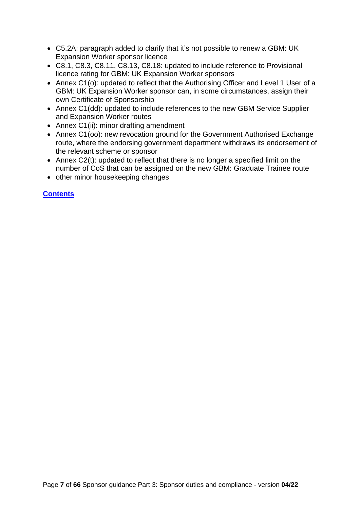- C5.2A: paragraph added to clarify that it's not possible to renew a GBM: UK Expansion Worker sponsor licence
- C8.1, C8.3, C8.11, C8.13, C8.18: updated to include reference to Provisional licence rating for GBM: UK Expansion Worker sponsors
- Annex C1(o): updated to reflect that the Authorising Officer and Level 1 User of a GBM: UK Expansion Worker sponsor can, in some circumstances, assign their own Certificate of Sponsorship
- Annex C1(dd): updated to include references to the new GBM Service Supplier and Expansion Worker routes
- Annex C1(ii): minor drafting amendment
- Annex C1(00): new revocation ground for the Government Authorised Exchange route, where the endorsing government department withdraws its endorsement of the relevant scheme or sponsor
- Annex C2(t): updated to reflect that there is no longer a specified limit on the number of CoS that can be assigned on the new GBM: Graduate Trainee route
- other minor housekeeping changes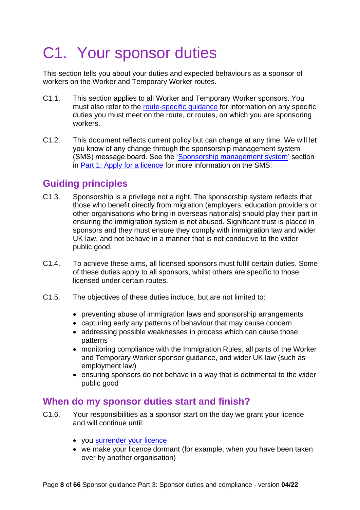# <span id="page-7-0"></span>C1. Your sponsor duties

This section tells you about your duties and expected behaviours as a sponsor of workers on the Worker and Temporary Worker routes.

- C1.1. This section applies to all Worker and Temporary Worker sponsors. You must also refer to the [route-specific guidance](https://www.gov.uk/government/collections/sponsorship-information-for-employers-and-educators#workers-and-temporary-workers:-guidance-for-sponsors) for information on any specific duties you must meet on the route, or routes, on which you are sponsoring workers.
- C1.2. This document reflects current policy but can change at any time. We will let you know of any change through the sponsorship management system (SMS) message board. See the ['Sponsorship management system'](https://www.gov.uk/government/publications/workers-and-temporary-workers-guidance-for-sponsors-part-1-apply-for-a-licence/workers-and-temporary-workers-guidance-for-sponsors-part-1-apply-for-a-licence-accessible-version#L10) section in [Part 1: Apply for a licence](https://www.gov.uk/government/publications/workers-and-temporary-workers-guidance-for-sponsors-part-1-apply-for-a-licence) for more information on the SMS.

## <span id="page-7-1"></span>**Guiding principles**

- C1.3. Sponsorship is a privilege not a right. The sponsorship system reflects that those who benefit directly from migration (employers, education providers or other organisations who bring in overseas nationals) should play their part in ensuring the immigration system is not abused. Significant trust is placed in sponsors and they must ensure they comply with immigration law and wider UK law, and not behave in a manner that is not conducive to the wider public good.
- C1.4. To achieve these aims, all licensed sponsors must fulfil certain duties. Some of these duties apply to all sponsors, whilst others are specific to those licensed under certain routes.
- C1.5. The objectives of these duties include, but are not limited to:
	- preventing abuse of immigration laws and sponsorship arrangements
	- capturing early any patterns of behaviour that may cause concern
	- addressing possible weaknesses in process which can cause those patterns
	- monitoring compliance with the Immigration Rules, all parts of the Worker and Temporary Worker sponsor guidance, and wider UK law (such as employment law)
	- ensuring sponsors do not behave in a way that is detrimental to the wider public good

## <span id="page-7-2"></span>**When do my sponsor duties start and finish?**

- C1.6. Your responsibilities as a sponsor start on the day we grant your licence and will continue until:
	- you [surrender your licence](#page-30-0)
	- we make your licence dormant (for example, when you have been taken over by another organisation)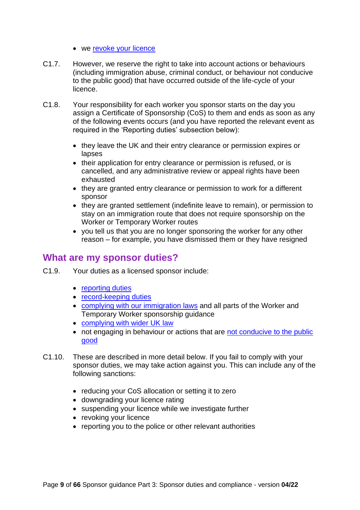- we [revoke your licence](#page-44-0)
- C1.7. However, we reserve the right to take into account actions or behaviours (including immigration abuse, criminal conduct, or behaviour not conducive to the public good) that have occurred outside of the life-cycle of your licence.
- C1.8. Your responsibility for each worker you sponsor starts on the day you assign a Certificate of Sponsorship (CoS) to them and ends as soon as any of the following events occurs (and you have reported the relevant event as required in the 'Reporting duties' subsection below):
	- they leave the UK and their entry clearance or permission expires or lapses
	- their application for entry clearance or permission is refused, or is cancelled, and any administrative review or appeal rights have been exhausted
	- they are granted entry clearance or permission to work for a different sponsor
	- they are granted settlement (indefinite leave to remain), or permission to stay on an immigration route that does not require sponsorship on the Worker or Temporary Worker routes
	- you tell us that you are no longer sponsoring the worker for any other reason – for example, you have dismissed them or they have resigned

## <span id="page-8-0"></span>**What are my sponsor duties?**

- C1.9. Your duties as a licensed sponsor include:
	- [reporting duties](#page-9-0)
	- [record-keeping duties](#page-10-2)
	- [complying with our immigration laws](#page-11-0) and all parts of the Worker and Temporary Worker sponsorship guidance
	- [complying with wider UK law](#page-13-0)
	- not engaging in behaviour or actions that are not conducive to the public [good](#page-14-0)
- C1.10. These are described in more detail below. If you fail to comply with your sponsor duties, we may take action against you. This can include any of the following sanctions:
	- reducing your CoS allocation or setting it to zero
	- downgrading your licence rating
	- suspending your licence while we investigate further
	- revoking your licence
	- reporting you to the police or other relevant authorities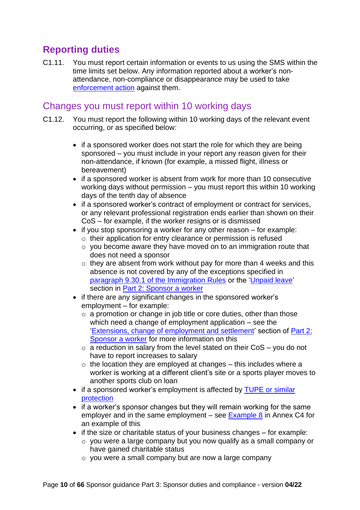## <span id="page-9-0"></span>**Reporting duties**

C1.11. You must report certain information or events to us using the SMS within the time limits set below. Any information reported about a worker's nonattendance, non-compliance or disappearance may be used to take [enforcement action](https://www.gov.uk/government/organisations/immigration-enforcement) against them.

## <span id="page-9-1"></span>Changes you must report within 10 working days

- C1.12. You must report the following within 10 working days of the relevant event occurring, or as specified below:
	- if a sponsored worker does not start the role for which they are being sponsored – you must include in your report any reason given for their non-attendance, if known (for example, a missed flight, illness or bereavement)
	- if a sponsored worker is absent from work for more than 10 consecutive working days without permission – you must report this within 10 working days of the tenth day of absence
	- if a sponsored worker's contract of employment or contract for services, or any relevant professional registration ends earlier than shown on their CoS – for example, if the worker resigns or is dismissed
	- if you stop sponsoring a worker for any other reason for example:
		- o their application for entry clearance or permission is refused
		- $\circ$  you become aware they have moved on to an immigration route that does not need a sponsor
		- $\circ$  they are absent from work without pay for more than 4 weeks and this absence is not covered by any of the exceptions specified in [paragraph 9.30.1 of the Immigration Rules](https://www.gov.uk/guidance/immigration-rules/immigration-rules-part-9-grounds-for-refusal) or the ['Unpaid leave'](https://www.gov.uk/government/publications/workers-and-temporary-workers-guidance-for-sponsors-part-2-sponsor-a-worker/workers-and-temporary-workers-guidance-for-sponsors-part-2-sponsor-a-worker-general-information-accessible-version#Unpaid-leave) section in [Part 2: Sponsor a worker](https://www.gov.uk/government/publications/workers-and-temporary-workers-guidance-for-sponsors-part-2-sponsor-a-worker)
	- if there are any significant changes in the sponsored worker's employment – for example:
		- $\circ$  a promotion or change in job title or core duties, other than those which need a change of employment application – see the 'Extensions, [change of employment](https://www.gov.uk/government/publications/workers-and-temporary-workers-guidance-for-sponsors-part-2-sponsor-a-worker/workers-and-temporary-workers-guidance-for-sponsors-part-2-sponsor-a-worker-general-information-accessible-version#S9) and settlement' section of [Part 2:](https://www.gov.uk/government/publications/workers-and-temporary-workers-guidance-for-sponsors-part-2-sponsor-a-worker)  [Sponsor a worker](https://www.gov.uk/government/publications/workers-and-temporary-workers-guidance-for-sponsors-part-2-sponsor-a-worker) for more information on this
		- $\circ$  a reduction in salary from the level stated on their CoS you do not have to report increases to salary
		- $\circ$  the location they are employed at changes this includes where a worker is working at a different client's site or a sports player moves to another sports club on loan
	- if a sponsored worker's employment is affected by TUPE or similar [protection](#page-21-2)
	- if a worker's sponsor changes but they will remain working for the same employer and in the same employment – see  $Example 8$  in Annex C4 for an example of this
	- if the size or charitable status of your business changes for example:
		- o you were a large company but you now qualify as a small company or have gained charitable status
		- o you were a small company but are now a large company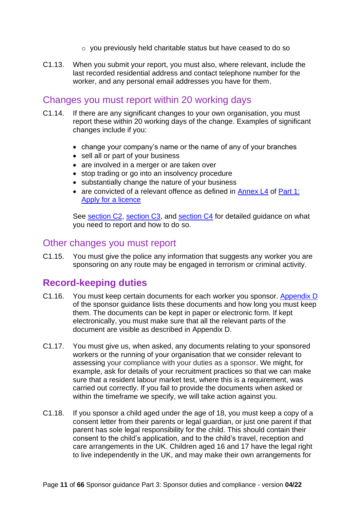- o you previously held charitable status but have ceased to do so
- C1.13. When you submit your report, you must also, where relevant, include the last recorded residential address and contact telephone number for the worker, and any personal email addresses you have for them.

#### <span id="page-10-0"></span>Changes you must report within 20 working days

- C1.14. If there are any significant changes to your own organisation, you must report these within 20 working days of the change. Examples of significant changes include if you:
	- change your company's name or the name of any of your branches
	- sell all or part of your business
	- are involved in a merger or are taken over
	- stop trading or go into an insolvency procedure
	- substantially change the nature of your business
	- are convicted of a relevant offence as defined in [Annex L4](https://www.gov.uk/government/publications/workers-and-temporary-workers-guidance-for-sponsors-part-1-apply-for-a-licence/workers-and-temporary-workers-guidance-for-sponsors-part-1-apply-for-a-licence-accessible-version#annexL4) of Part 1: [Apply for a licence](https://www.gov.uk/government/publications/workers-and-temporary-workers-guidance-for-sponsors-part-1-apply-for-a-licence)

See [section C2,](#page-15-0) [section C3,](#page-19-0) and [section C4](#page-20-2) for detailed guidance on what you need to report and how to do so.

#### <span id="page-10-1"></span>Other changes you must report

C1.15. You must give the police any information that suggests any worker you are sponsoring on any route may be engaged in terrorism or criminal activity.

## <span id="page-10-2"></span>**Record-keeping duties**

- C1.16. You must keep certain documents for each worker you sponsor. [Appendix D](https://www.gov.uk/government/publications/keep-records-for-sponsorship-appendix-d) of the sponsor guidance lists these documents and how long you must keep them. The documents can be kept in paper or electronic form. If kept electronically, you must make sure that all the relevant parts of the document are visible as described in Appendix D.
- C1.17. You must give us, when asked, any documents relating to your sponsored workers or the running of your organisation that we consider relevant to assessing your compliance with your duties as a sponsor. We might, for example, ask for details of your recruitment practices so that we can make sure that a resident labour market test, where this is a requirement, was carried out correctly. If you fail to provide the documents when asked or within the timeframe we specify, we will take action against you.
- C1.18. If you sponsor a child aged under the age of 18, you must keep a copy of a consent letter from their parents or legal guardian, or just one parent if that parent has sole legal responsibility for the child. This should contain their consent to the child's application, and to the child's travel, reception and care arrangements in the UK. Children aged 16 and 17 have the legal right to live independently in the UK, and may make their own arrangements for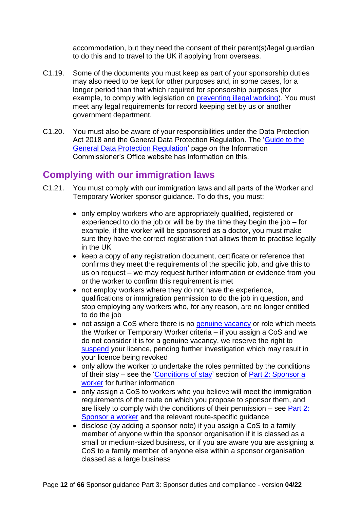accommodation, but they need the consent of their parent(s)/legal guardian to do this and to travel to the UK if applying from overseas.

- C1.19. Some of the documents you must keep as part of your sponsorship duties may also need to be kept for other purposes and, in some cases, for a longer period than that which required for sponsorship purposes (for example, to comply with legislation on [preventing illegal working\)](https://www.gov.uk/government/publications/right-to-work-checks-employers-guide). You must meet any legal requirements for record keeping set by us or another government department.
- C1.20. You must also be aware of your responsibilities under the Data Protection Act 2018 and the General Data Protection Regulation. The ['Guide to the](https://ico.org.uk/for-organisations/guide-to-the-general-data-protection-regulation-gdpr/)  [General Data Protection Regulation'](https://ico.org.uk/for-organisations/guide-to-the-general-data-protection-regulation-gdpr/) page on the Information Commissioner's Office website has information on this.

## <span id="page-11-0"></span>**Complying with our immigration laws**

- C1.21. You must comply with our immigration laws and all parts of the Worker and Temporary Worker sponsor guidance. To do this, you must:
	- only employ workers who are appropriately qualified, registered or experienced to do the job or will be by the time they begin the job – for example, if the worker will be sponsored as a doctor, you must make sure they have the correct registration that allows them to practise legally in the UK
	- keep a copy of any registration document, certificate or reference that confirms they meet the requirements of the specific job, and give this to us on request – we may request further information or evidence from you or the worker to confirm this requirement is met
	- not employ workers where they do not have the experience, qualifications or immigration permission to do the job in question, and stop employing any workers who, for any reason, are no longer entitled to do the job
	- not assign a CoS where there is no [genuine vacancy](#page-14-1) or role which meets the Worker or Temporary Worker criteria – if you assign a CoS and we do not consider it is for a genuine vacancy, we reserve the right to [suspend](#page-41-0) your licence, pending further investigation which may result in your licence being revoked
	- only allow the worker to undertake the roles permitted by the conditions of their stay – see the ['Conditions of stay'](https://www.gov.uk/government/publications/workers-and-temporary-workers-guidance-for-sponsors-part-2-sponsor-a-worker/workers-and-temporary-workers-guidance-for-sponsors-part-2-sponsor-a-worker-general-information-accessible-version#S8) section of [Part 2: Sponsor a](https://www.gov.uk/government/publications/workers-and-temporary-workers-guidance-for-sponsors-part-2-sponsor-a-worker)  [worker](https://www.gov.uk/government/publications/workers-and-temporary-workers-guidance-for-sponsors-part-2-sponsor-a-worker) for further information
	- only assign a CoS to workers who you believe will meet the immigration requirements of the route on which you propose to sponsor them, and are likely to comply with the conditions of their permission – see [Part 2:](https://www.gov.uk/government/publications/workers-and-temporary-workers-guidance-for-sponsors-part-2-sponsor-a-worker)  [Sponsor a worker](https://www.gov.uk/government/publications/workers-and-temporary-workers-guidance-for-sponsors-part-2-sponsor-a-worker) and the relevant route-specific guidance
	- disclose (by adding a sponsor note) if you assign a CoS to a family member of anyone within the sponsor organisation if it is classed as a small or medium-sized business, or if you are aware you are assigning a CoS to a family member of anyone else within a sponsor organisation classed as a large business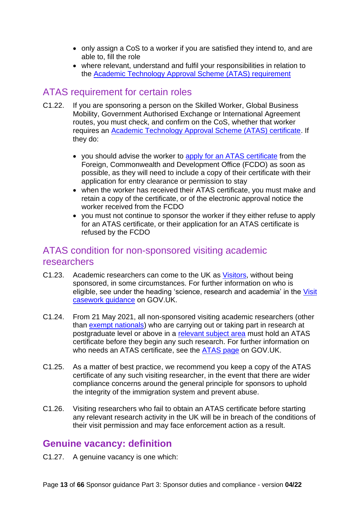- only assign a CoS to a worker if you are satisfied they intend to, and are able to, fill the role
- where relevant, understand and fulfil your responsibilities in relation to the [Academic Technology Approval Scheme \(ATAS\) requirement](#page-12-0)

## <span id="page-12-0"></span>ATAS requirement for certain roles

- C1.22. If you are sponsoring a person on the Skilled Worker, Global Business Mobility, Government Authorised Exchange or International Agreement routes, you must check, and confirm on the CoS, whether that worker requires an [Academic Technology Approval Scheme \(ATAS\) certificate.](https://www.gov.uk/government/publications/workers-and-temporary-workers-guidance-for-sponsors-part-2-sponsor-a-worker/workers-and-temporary-workers-guidance-for-sponsors-part-2-sponsor-a-worker-general-information-accessible-version#ATAS-requirement) If they do:
	- you should advise the worker to [apply for an ATAS](https://www.gov.uk/guidance/guidance-on-how-to-apply-for-an-atas-certificate) certificate from the Foreign, Commonwealth and Development Office (FCDO) as soon as possible, as they will need to include a copy of their certificate with their application for entry clearance or permission to stay
	- when the worker has received their ATAS certificate, you must make and retain a copy of the certificate, or of the electronic approval notice the worker received from the FCDO
	- you must not continue to sponsor the worker if they either refuse to apply for an ATAS certificate, or their application for an ATAS certificate is refused by the FCDO

## <span id="page-12-1"></span>ATAS condition for non-sponsored visiting academic researchers

- C1.23. Academic researchers can come to the UK as [Visitors,](https://www.gov.uk/guidance/immigration-rules/immigration-rules-appendix-v-visitor) without being sponsored, in some circumstances. For further information on who is eligible, see under the heading 'science, research and academia' in the [Visit](https://www.gov.uk/government/publications/visit-guidance)  [casework guidance](https://www.gov.uk/government/publications/visit-guidance) on GOV.UK.
- C1.24. From 21 May 2021, all non-sponsored visiting academic researchers (other than [exempt nationals\)](https://www.gov.uk/government/publications/workers-and-temporary-workers-guidance-for-sponsors-part-2-sponsor-a-worker/workers-and-temporary-workers-guidance-for-sponsors-part-2-sponsor-a-worker-general-information-accessible-version#Exempt-nationalities) who are carrying out or taking part in research at postgraduate level or above in a [relevant subject area](https://www.gov.uk/government/publications/workers-and-temporary-workers-guidance-for-sponsors-part-2-sponsor-a-worker/workers-and-temporary-workers-guidance-for-sponsors-part-2-sponsor-a-worker-general-information-accessible-version#Subject-areas) must hold an ATAS certificate before they begin any such research. For further information on who needs an ATAS certificate, see the [ATAS page](https://www.gov.uk/guidance/academic-technology-approval-scheme) on GOV.UK.
- C1.25. As a matter of best practice, we recommend you keep a copy of the ATAS certificate of any such visiting researcher, in the event that there are wider compliance concerns around the general principle for sponsors to uphold the integrity of the immigration system and prevent abuse.
- C1.26. Visiting researchers who fail to obtain an ATAS certificate before starting any relevant research activity in the UK will be in breach of the conditions of their visit permission and may face enforcement action as a result.

## <span id="page-12-2"></span>**Genuine vacancy: definition**

C1.27. A genuine vacancy is one which: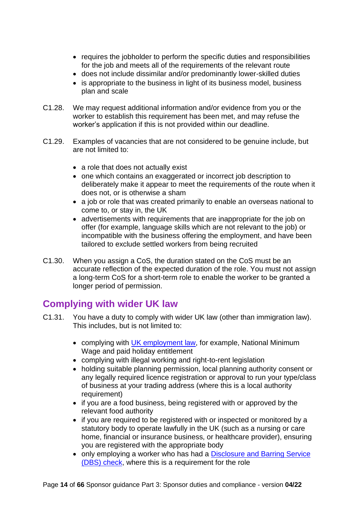- requires the jobholder to perform the specific duties and responsibilities for the job and meets all of the requirements of the relevant route
- does not include dissimilar and/or predominantly lower-skilled duties
- is appropriate to the business in light of its business model, business plan and scale
- C1.28. We may request additional information and/or evidence from you or the worker to establish this requirement has been met, and may refuse the worker's application if this is not provided within our deadline.
- C1.29. Examples of vacancies that are not considered to be genuine include, but are not limited to:
	- a role that does not actually exist
	- one which contains an exaggerated or incorrect job description to deliberately make it appear to meet the requirements of the route when it does not, or is otherwise a sham
	- a job or role that was created primarily to enable an overseas national to come to, or stay in, the UK
	- advertisements with requirements that are inappropriate for the job on offer (for example, language skills which are not relevant to the job) or incompatible with the business offering the employment, and have been tailored to exclude settled workers from being recruited
- C1.30. When you assign a CoS, the duration stated on the CoS must be an accurate reflection of the expected duration of the role. You must not assign a long-term CoS for a short-term role to enable the worker to be granted a longer period of permission.

## <span id="page-13-0"></span>**Complying with wider UK law**

- C1.31. You have a duty to comply with wider UK law (other than immigration law). This includes, but is not limited to:
	- complying with [UK employment law,](https://www.gov.uk/browse/employing-people/contracts) for example, National Minimum Wage and paid holiday entitlement
	- complying with illegal working and right-to-rent legislation
	- holding suitable planning permission, local planning authority consent or any legally required licence registration or approval to run your type/class of business at your trading address (where this is a local authority requirement)
	- if you are a food business, being registered with or approved by the relevant food authority
	- if you are required to be registered with or inspected or monitored by a statutory body to operate lawfully in the UK (such as a nursing or care home, financial or insurance business, or healthcare provider), ensuring you are registered with the appropriate body
	- only employing a worker who has had a Disclosure and Barring Service [\(DBS\) check,](https://www.gov.uk/disclosure-barring-service-check/overview) where this is a requirement for the role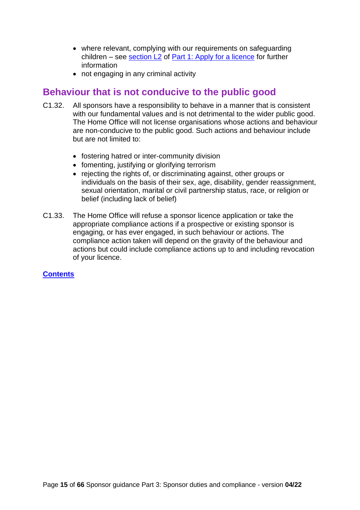- where relevant, complying with our requirements on safeguarding children – see [section L2](https://www.gov.uk/government/publications/workers-and-temporary-workers-guidance-for-sponsors-part-1-apply-for-a-licence/workers-and-temporary-workers-guidance-for-sponsors-part-1-apply-for-a-licence-accessible-version#L2) of [Part 1: Apply for a licence](https://www.gov.uk/government/publications/workers-and-temporary-workers-guidance-for-sponsors-part-1-apply-for-a-licence) for further information
- not engaging in any criminal activity

## <span id="page-14-0"></span>**Behaviour that is not conducive to the public good**

- C1.32. All sponsors have a responsibility to behave in a manner that is consistent with our fundamental values and is not detrimental to the wider public good. The Home Office will not license organisations whose actions and behaviour are non-conducive to the public good. Such actions and behaviour include but are not limited to:
	- fostering hatred or inter-community division
	- fomenting, justifying or glorifying terrorism
	- rejecting the rights of, or discriminating against, other groups or individuals on the basis of their sex, age, disability, gender reassignment, sexual orientation, marital or civil partnership status, race, or religion or belief (including lack of belief)
- <span id="page-14-1"></span>C1.33. The Home Office will refuse a sponsor licence application or take the appropriate compliance actions if a prospective or existing sponsor is engaging, or has ever engaged, in such behaviour or actions. The compliance action taken will depend on the gravity of the behaviour and actions but could include compliance actions up to and including revocation of your licence.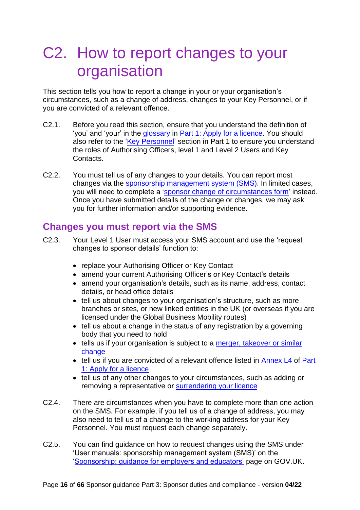## <span id="page-15-0"></span>C2. How to report changes to your organisation

This section tells you how to report a change in your or your organisation's circumstances, such as a change of address, changes to your Key Personnel, or if you are convicted of a relevant offence.

- C2.1. Before you read this section, ensure that you understand the definition of 'you' and 'your' in the [glossary](https://www.gov.uk/government/publications/workers-and-temporary-workers-guidance-for-sponsors-part-1-apply-for-a-licence/workers-and-temporary-workers-guidance-for-sponsors-part-1-apply-for-a-licence-accessible-version#glossary) in [Part 1: Apply for a licence.](https://www.gov.uk/government/publications/workers-and-temporary-workers-guidance-for-sponsors-part-1-apply-for-a-licence) You should also refer to the ['Key Personnel'](https://www.gov.uk/government/publications/workers-and-temporary-workers-guidance-for-sponsors-part-1-apply-for-a-licence/workers-and-temporary-workers-guidance-for-sponsors-part-1-apply-for-a-licence-accessible-version#L4) section in Part 1 to ensure you understand the roles of Authorising Officers, level 1 and Level 2 Users and Key Contacts.
- C2.2. You must tell us of any changes to your details. You can report most changes via the [sponsorship management system \(SMS\).](https://www.gov.uk/sponsor-management-system) In limited cases, you will need to complete a ['sponsor change of circumstances form'](https://www.gov.uk/government/publications/sponsor-change-of-circumstances-form) instead. Once you have submitted details of the change or changes, we may ask you for further information and/or supporting evidence.

## <span id="page-15-1"></span>**Changes you must report via the SMS**

- C2.3. Your Level 1 User must access your SMS account and use the 'request changes to sponsor details' function to:
	- replace your Authorising Officer or Key Contact
	- amend your current Authorising Officer's or Key Contact's details
	- amend your organisation's details, such as its name, address, contact details, or head office details
	- tell us about changes to your organisation's structure, such as more branches or sites, or new linked entities in the UK (or overseas if you are licensed under the Global Business Mobility routes)
	- tell us about a change in the status of any registration by a governing body that you need to hold
	- tells us if your organisation is subiect to a merger, takeover or similar [change](#page-20-2)
	- tell us if you are convicted of a relevant offence listed in **Annex L4 of Part** [1: Apply for a licence](https://www.gov.uk/government/publications/workers-and-temporary-workers-guidance-for-sponsors-part-1-apply-for-a-licence)
	- tell us of any other changes to your circumstances, such as adding or removing a representative or [surrendering your licence](#page-30-0)
- C2.4. There are circumstances when you have to complete more than one action on the SMS. For example, if you tell us of a change of address, you may also need to tell us of a change to the working address for your Key Personnel. You must request each change separately.
- C2.5. You can find guidance on how to request changes using the SMS under 'User manuals: sponsorship management system (SMS)' on the ['Sponsorship: guidance for employers and educators'](https://www.gov.uk/government/collections/sponsorship-information-for-employers-and-educators#user-manuals-sponsorship-management-system-sms) page on GOV.UK.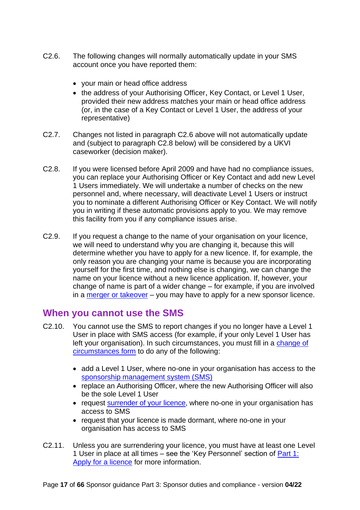- C2.6. The following changes will normally automatically update in your SMS account once you have reported them:
	- your main or head office address
	- the address of your Authorising Officer, Key Contact, or Level 1 User, provided their new address matches your main or head office address (or, in the case of a Key Contact or Level 1 User, the address of your representative)
- C2.7. Changes not listed in paragraph C2.6 above will not automatically update and (subject to paragraph C2.8 below) will be considered by a UKVI caseworker (decision maker).
- C2.8. If you were licensed before April 2009 and have had no compliance issues, you can replace your Authorising Officer or Key Contact and add new Level 1 Users immediately. We will undertake a number of checks on the new personnel and, where necessary, will deactivate Level 1 Users or instruct you to nominate a different Authorising Officer or Key Contact. We will notify you in writing if these automatic provisions apply to you. We may remove this facility from you if any compliance issues arise.
- C2.9. If you request a change to the name of your organisation on your licence, we will need to understand why you are changing it, because this will determine whether you have to apply for a new licence. If, for example, the only reason you are changing your name is because you are incorporating yourself for the first time, and nothing else is changing, we can change the name on your licence without a new licence application. If, however, your change of name is part of a wider change – for example, if you are involved in a [merger or takeover](#page-20-2) – you may have to apply for a new sponsor licence.

### <span id="page-16-0"></span>**When you cannot use the SMS**

- C2.10. You cannot use the SMS to report changes if you no longer have a Level 1 User in place with SMS access (for example, if your only Level 1 User has left your organisation). In such circumstances, you must fill in a [change of](http://www.gov.uk/government/publications/sponsor-change-of-circumstances-form)  [circumstances form](http://www.gov.uk/government/publications/sponsor-change-of-circumstances-form) to do any of the following:
	- add a Level 1 User, where no-one in your organisation has access to the [sponsorship management system \(SMS\)](https://www.points.homeoffice.gov.uk/gui-sms-jsf/home/SMS-003-Home.faces)
	- replace an Authorising Officer, where the new Authorising Officer will also be the sole Level 1 User
	- request [surrender of your licence,](#page-30-0) where no-one in your organisation has access to SMS
	- request that your licence is made dormant, where no-one in your organisation has access to SMS
- C2.11. Unless you are surrendering your licence, you must have at least one Level 1 User in place at all times – see the 'Key Personnel' section of [Part 1:](https://www.gov.uk/government/publications/workers-and-temporary-workers-guidance-for-sponsors-part-1-apply-for-a-licence)  [Apply for a licence](https://www.gov.uk/government/publications/workers-and-temporary-workers-guidance-for-sponsors-part-1-apply-for-a-licence) for more information.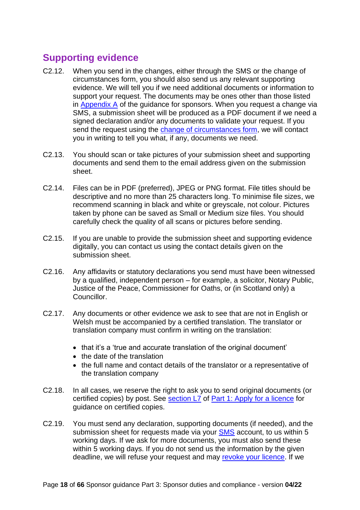## <span id="page-17-0"></span>**Supporting evidence**

- C2.12. When you send in the changes, either through the SMS or the change of circumstances form, you should also send us any relevant supporting evidence. We will tell you if we need additional documents or information to support your request. The documents may be ones other than those listed in [Appendix A](https://www.gov.uk/government/publications/supporting-documents-for-sponsor-applications-appendix-a) of the guidance for sponsors. When you request a change via SMS, a submission sheet will be produced as a PDF document if we need a signed declaration and/or any documents to validate your request. If you send the request using the [change of circumstances form,](http://www.gov.uk/government/publications/sponsor-change-of-circumstances-form) we will contact you in writing to tell you what, if any, documents we need.
- C2.13. You should scan or take pictures of your submission sheet and supporting documents and send them to the email address given on the submission sheet.
- C2.14. Files can be in PDF (preferred), JPEG or PNG format. File titles should be descriptive and no more than 25 characters long. To minimise file sizes, we recommend scanning in black and white or greyscale, not colour. Pictures taken by phone can be saved as Small or Medium size files. You should carefully check the quality of all scans or pictures before sending.
- C2.15. If you are unable to provide the submission sheet and supporting evidence digitally, you can contact us using the contact details given on the submission sheet.
- C2.16. Any affidavits or statutory declarations you send must have been witnessed by a qualified, independent person – for example, a solicitor, Notary Public, Justice of the Peace, Commissioner for Oaths, or (in Scotland only) a Councillor.
- C2.17. Any documents or other evidence we ask to see that are not in English or Welsh must be accompanied by a certified translation. The translator or translation company must confirm in writing on the translation:
	- that it's a 'true and accurate translation of the original document'
	- the date of the translation
	- the full name and contact details of the translator or a representative of the translation company
- C2.18. In all cases, we reserve the right to ask you to send original documents (or certified copies) by post. See [section L7](https://www.gov.uk/government/publications/workers-and-temporary-workers-guidance-for-sponsors-part-1-apply-for-a-licence/workers-and-temporary-workers-guidance-for-sponsors-part-1-apply-for-a-licence-accessible-version#Sending-your-documents) of [Part 1: Apply for a licence](https://www.gov.uk/government/publications/workers-and-temporary-workers-guidance-for-sponsors-part-1-apply-for-a-licence) for guidance on certified copies.
- C2.19. You must send any declaration, supporting documents (if needed), and the submission sheet for requests made via your **SMS** account, to us within 5 working days. If we ask for more documents, you must also send these within 5 working days. If you do not send us the information by the given deadline, we will refuse your request and may [revoke your licence.](#page-44-0) If we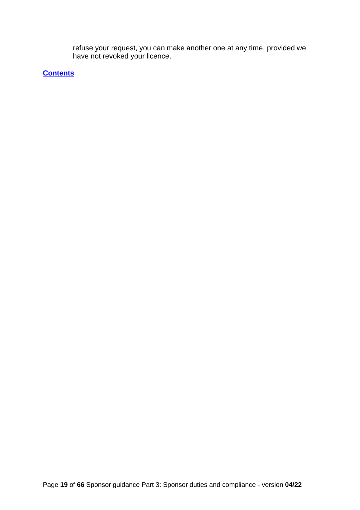refuse your request, you can make another one at any time, provided we have not revoked your licence.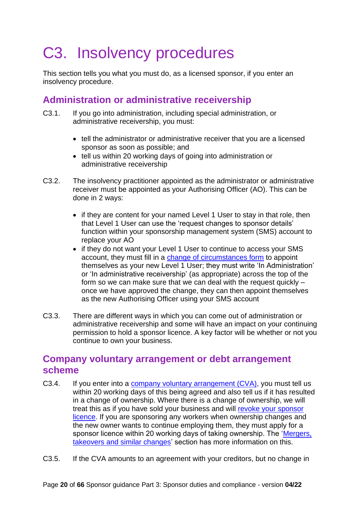# <span id="page-19-0"></span>C3. Insolvency procedures

This section tells you what you must do, as a licensed sponsor, if you enter an insolvency procedure.

## <span id="page-19-1"></span>**Administration or administrative receivership**

- C3.1. If you go into administration, including special administration, or administrative receivership, you must:
	- tell the administrator or administrative receiver that you are a licensed sponsor as soon as possible; and
	- tell us within 20 working days of going into administration or administrative receivership
- C3.2. The insolvency practitioner appointed as the administrator or administrative receiver must be appointed as your Authorising Officer (AO). This can be done in 2 ways:
	- if they are content for your named Level 1 User to stay in that role, then that Level 1 User can use the 'request changes to sponsor details' function within your sponsorship management system (SMS) account to replace your AO
	- if they do not want your Level 1 User to continue to access your SMS account, they must fill in a [change of circumstances form](http://www.gov.uk/government/publications/sponsor-change-of-circumstances-form) to appoint themselves as your new Level 1 User; they must write 'In Administration' or 'In administrative receivership' (as appropriate) across the top of the form so we can make sure that we can deal with the request quickly – once we have approved the change, they can then appoint themselves as the new Authorising Officer using your SMS account
- C3.3. There are different ways in which you can come out of administration or administrative receivership and some will have an impact on your continuing permission to hold a sponsor licence. A key factor will be whether or not you continue to own your business.

## <span id="page-19-2"></span>**Company voluntary arrangement or debt arrangement scheme**

- C3.4. If you enter into a [company voluntary arrangement \(CVA\),](https://www.gov.uk/company-voluntary-arrangements) you must tell us within 20 working days of this being agreed and also tell us if it has resulted in a change of ownership. Where there is a change of ownership, we will treat this as if you have sold your business and will [revoke your sponsor](#page-44-0)  [licence.](#page-44-0) If you are sponsoring any workers when ownership changes and the new owner wants to continue employing them, they must apply for a sponsor licence within 20 working days of taking ownership. The 'Mergers, [takeovers and similar changes'](#page-20-2) section has more information on this.
- C3.5. If the CVA amounts to an agreement with your creditors, but no change in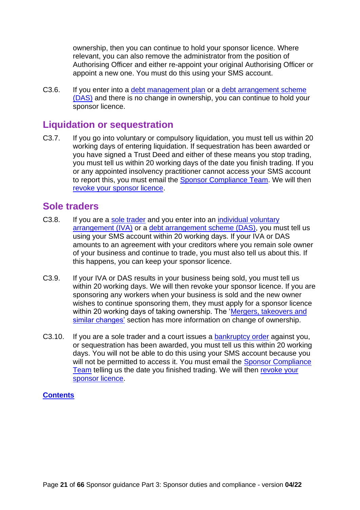ownership, then you can continue to hold your sponsor licence. Where relevant, you can also remove the administrator from the position of Authorising Officer and either re-appoint your original Authorising Officer or appoint a new one. You must do this using your SMS account.

C3.6. If you enter into a [debt management plan](https://www.gov.uk/options-for-paying-off-your-debts/debt-management-plans) or a debt arrangement scheme [\(DAS\)](https://dasscotland.gov.uk/) and there is no change in ownership, you can continue to hold your sponsor licence.

## <span id="page-20-0"></span>**Liquidation or sequestration**

C3.7. If you go into voluntary or compulsory liquidation, you must tell us within 20 working days of entering liquidation. If sequestration has been awarded or you have signed a Trust Deed and either of these means you stop trading, you must tell us within 20 working days of the date you finish trading. If you or any appointed insolvency practitioner cannot access your SMS account to report this, you must email the [Sponsor Compliance Team.](mailto:Sponsorcomplianceteam@homeoffice.gov.uk) We will then [revoke your sponsor licence.](#page-44-0)

## <span id="page-20-1"></span>**Sole traders**

- C3.8. If you are a [sole trader](https://www.gov.uk/business-legal-structures/sole-trader) and you enter into an individual voluntary [arrangement \(IVA\)](https://www.gov.uk/options-for-paying-off-your-debts/individual-voluntary-arrangements) or a [debt arrangement scheme \(DAS\),](https://dasscotland.gov.uk/) you must tell us using your SMS account within 20 working days. If your IVA or DAS amounts to an agreement with your creditors where you remain sole owner of your business and continue to trade, you must also tell us about this. If this happens, you can keep your sponsor licence.
- C3.9. If your IVA or DAS results in your business being sold, you must tell us within 20 working days. We will then revoke your sponsor licence. If you are sponsoring any workers when your business is sold and the new owner wishes to continue sponsoring them, they must apply for a sponsor licence within 20 working days of taking ownership. The 'Mergers, takeovers and [similar changes'](#page-20-2) section has more information on change of ownership.
- <span id="page-20-2"></span>C3.10. If you are a sole trader and a court issues a [bankruptcy order](https://www.gov.uk/government/publications/guide-to-bankruptcy/guide-to-bankruptcy) against you, or sequestration has been awarded, you must tell us this within 20 working days. You will not be able to do this using your SMS account because you will not be permitted to access it. You must email the Sponsor Compliance [Team](mailto:Sponsorcomplianceteam@homeoffice.gov.uk) telling us the date you finished trading. We will then [revoke your](#page-44-0)  [sponsor licence.](#page-44-0)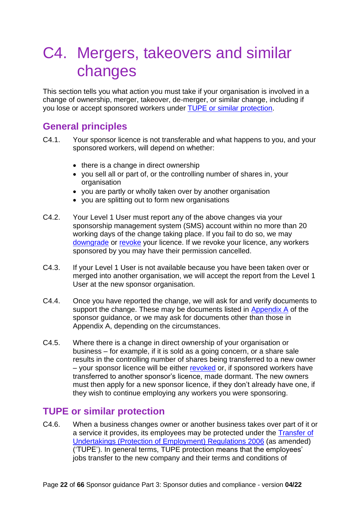## <span id="page-21-0"></span>C4. Mergers, takeovers and similar changes

This section tells you what action you must take if your organisation is involved in a change of ownership, merger, takeover, de-merger, or similar change, including if you lose or accept sponsored workers under TUPE or [similar protection.](#page-21-2)

## <span id="page-21-1"></span>**General principles**

- C4.1. Your sponsor licence is not transferable and what happens to you, and your sponsored workers, will depend on whether:
	- there is a change in direct ownership
	- you sell all or part of, or the controlling number of shares in, your organisation
	- you are partly or wholly taken over by another organisation
	- you are splitting out to form new organisations
- C4.2. Your Level 1 User must report any of the above changes via your sponsorship management system (SMS) account within no more than 20 working days of the change taking place. If you fail to do so, we may [downgrade](#page-36-0) or [revoke](#page-44-0) your licence. If we revoke your licence, any workers sponsored by you may have their permission cancelled.
- C4.3. If your Level 1 User is not available because you have been taken over or merged into another organisation, we will accept the report from the Level 1 User at the new sponsor organisation.
- C4.4. Once you have reported the change, we will ask for and verify documents to support the change. These may be documents listed in [Appendix A](https://www.gov.uk/government/publications/supporting-documents-for-sponsor-applications-appendix-a) of the sponsor guidance, or we may ask for documents other than those in Appendix A, depending on the circumstances.
- C4.5. Where there is a change in direct ownership of your organisation or business – for example, if it is sold as a going concern, or a share sale results in the controlling number of shares being transferred to a new owner – your sponsor licence will be either [revoked](#page-44-0) or, if sponsored workers have transferred to another sponsor's licence, made dormant. The new owners must then apply for a new sponsor licence, if they don't already have one, if they wish to continue employing any workers you were sponsoring.

## <span id="page-21-2"></span>**TUPE or similar protection**

C4.6. When a business changes owner or another business takes over part of it or a service it provides, its employees may be protected under the [Transfer of](http://www.legislation.gov.uk/uksi/2006/246/contents/made)  [Undertakings \(Protection of Employment\) Regulations 2006](http://www.legislation.gov.uk/uksi/2006/246/contents/made) (as amended) ('TUPE'). In general terms, TUPE protection means that the employees' jobs transfer to the new company and their terms and conditions of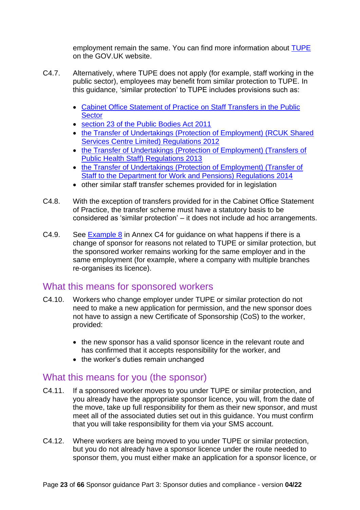employment remain the same. You can find more information about [TUPE](https://www.gov.uk/transfers-takeovers) on the GOV.UK website.

- C4.7. Alternatively, where TUPE does not apply (for example, staff working in the public sector), employees may benefit from similar protection to TUPE. In this guidance, 'similar protection' to TUPE includes provisions such as:
	- [Cabinet Office Statement of Practice](https://www.gov.uk/government/publications/staff-transfers-in-the-public-sector) on Staff Transfers in the Public **[Sector](https://www.gov.uk/government/publications/staff-transfers-in-the-public-sector)**
	- [section 23 of the Public Bodies Act 2011](http://www.legislation.gov.uk/ukpga/2011/24/section/23)
	- the Transfer of Undertakings (Protection of Employment) (RCUK Shared [Services Centre Limited\) Regulations 2012](http://www.legislation.gov.uk/uksi/2012/2413/contents/made)
	- the Transfer of Undertakings (Protection of Employment) (Transfers of [Public Health Staff\) Regulations 2013](http://www.legislation.gov.uk/uksi/2013/278/contents/made)
	- [the Transfer of Undertakings \(Protection of Employment\) \(Transfer of](http://www.legislation.gov.uk/uksi/2014/1139/memorandum/contents)  [Staff to the Department for Work and Pensions\) Regulations 2014](http://www.legislation.gov.uk/uksi/2014/1139/memorandum/contents)
	- other similar staff transfer schemes provided for in legislation
- C4.8. With the exception of transfers provided for in the Cabinet Office Statement of Practice, the transfer scheme must have a statutory basis to be considered as 'similar protection' – it does not include ad hoc arrangements.
- C4.9. See [Example 8](#page-64-1) in Annex C4 for guidance on what happens if there is a change of sponsor for reasons not related to TUPE or similar protection, but the sponsored worker remains working for the same employer and in the same employment (for example, where a company with multiple branches re-organises its licence).

## <span id="page-22-0"></span>What this means for sponsored workers

- C4.10. Workers who change employer under TUPE or similar protection do not need to make a new application for permission, and the new sponsor does not have to assign a new Certificate of Sponsorship (CoS) to the worker, provided:
	- the new sponsor has a valid sponsor licence in the relevant route and has confirmed that it accepts responsibility for the worker, and
	- the worker's duties remain unchanged

## <span id="page-22-1"></span>What this means for you (the sponsor)

- C4.11. If a sponsored worker moves to you under TUPE or similar protection, and you already have the appropriate sponsor licence, you will, from the date of the move, take up full responsibility for them as their new sponsor, and must meet all of the associated duties set out in this guidance. You must confirm that you will take responsibility for them via your SMS account.
- C4.12. Where workers are being moved to you under TUPE or similar protection, but you do not already have a sponsor licence under the route needed to sponsor them, you must either make an application for a sponsor licence, or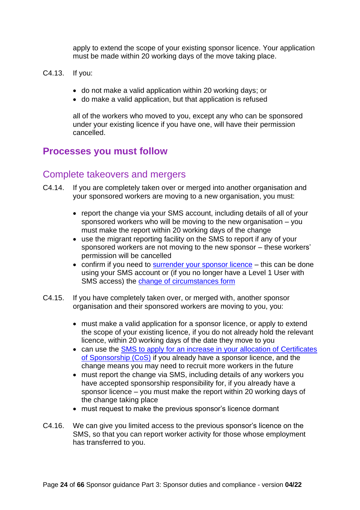apply to extend the scope of your existing sponsor licence. Your application must be made within 20 working days of the move taking place.

- C4.13. If you:
	- do not make a valid application within 20 working days; or
	- do make a valid application, but that application is refused

all of the workers who moved to you, except any who can be sponsored under your existing licence if you have one, will have their permission cancelled.

## <span id="page-23-0"></span>**Processes you must follow**

### <span id="page-23-1"></span>Complete takeovers and mergers

- C4.14. If you are completely taken over or merged into another organisation and your sponsored workers are moving to a new organisation, you must:
	- report the change via your SMS account, including details of all of your sponsored workers who will be moving to the new organisation – you must make the report within 20 working days of the change
	- use the migrant reporting facility on the SMS to report if any of your sponsored workers are not moving to the new sponsor – these workers' permission will be cancelled
	- confirm if you need to [surrender your sponsor licence](#page-30-0) this can be done using your SMS account or (if you no longer have a Level 1 User with SMS access) the [change of circumstances form](http://www.gov.uk/government/publications/sponsor-change-of-circumstances-form)
- C4.15. If you have completely taken over, or merged with, another sponsor organisation and their sponsored workers are moving to you, you:
	- must make a valid application for a sponsor licence, or apply to extend the scope of your existing licence, if you do not already hold the relevant licence, within 20 working days of the date they move to you
	- can use the [SMS to apply for an increase in your allocation of Certificates](https://www.gov.uk/government/uploads/system/uploads/attachment_data/file/420110/SMS_guide_2_-__Managing_your_licence.pdf)  [of Sponsorship \(CoS\)](https://www.gov.uk/government/uploads/system/uploads/attachment_data/file/420110/SMS_guide_2_-__Managing_your_licence.pdf) if you already have a sponsor licence, and the change means you may need to recruit more workers in the future
	- must report the change via SMS, including details of any workers you have accepted sponsorship responsibility for, if you already have a sponsor licence – you must make the report within 20 working days of the change taking place
	- must request to make the previous sponsor's licence dormant
- C4.16. We can give you limited access to the previous sponsor's licence on the SMS, so that you can report worker activity for those whose employment has transferred to you.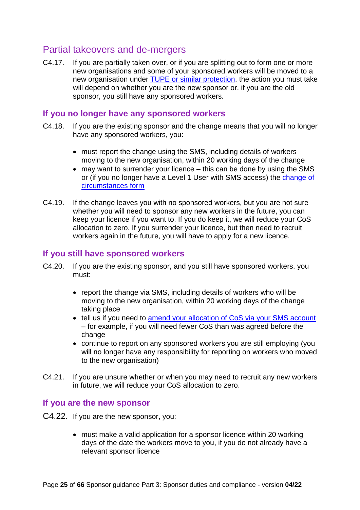## <span id="page-24-0"></span>Partial takeovers and de-mergers

C4.17. If you are partially taken over, or if you are splitting out to form one or more new organisations and some of your sponsored workers will be moved to a new organisation under TUPE [or similar protection,](#page-21-2) the action you must take will depend on whether you are the new sponsor or, if you are the old sponsor, you still have any sponsored workers.

#### **If you no longer have any sponsored workers**

- C4.18. If you are the existing sponsor and the change means that you will no longer have any sponsored workers, you:
	- must report the change using the SMS, including details of workers moving to the new organisation, within 20 working days of the change
	- may want to surrender your licence this can be done by using the SMS or (if you no longer have a Level 1 User with SMS access) the [change of](http://www.gov.uk/government/publications/sponsor-change-of-circumstances-form)  [circumstances form](http://www.gov.uk/government/publications/sponsor-change-of-circumstances-form)
- C4.19. If the change leaves you with no sponsored workers, but you are not sure whether you will need to sponsor any new workers in the future, you can keep your licence if you want to. If you do keep it, we will reduce your CoS allocation to zero. If you surrender your licence, but then need to recruit workers again in the future, you will have to apply for a new licence.

#### **If you still have sponsored workers**

- C4.20. If you are the existing sponsor, and you still have sponsored workers, you must:
	- report the change via SMS, including details of workers who will be moving to the new organisation, within 20 working days of the change taking place
	- tell us if you need to [amend your allocation of CoS via your SMS account](https://www.gov.uk/government/uploads/system/uploads/attachment_data/file/420110/SMS_guide_2_-__Managing_your_licence.pdf) – for example, if you will need fewer CoS than was agreed before the change
	- continue to report on any sponsored workers you are still employing (you will no longer have any responsibility for reporting on workers who moved to the new organisation)
- C4.21. If you are unsure whether or when you may need to recruit any new workers in future, we will reduce your CoS allocation to zero.

#### **If you are the new sponsor**

- C4.22. If you are the new sponsor, you:
	- must make a valid application for a sponsor licence within 20 working days of the date the workers move to you, if you do not already have a relevant sponsor licence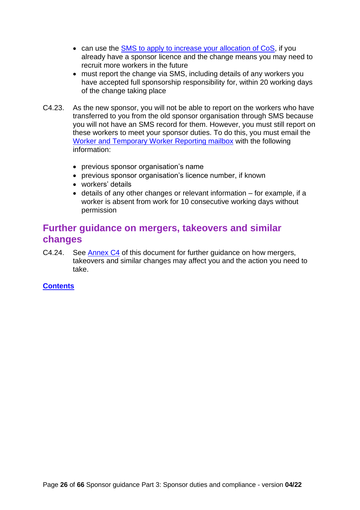- can use the [SMS to apply to increase your allocation of CoS,](https://www.gov.uk/government/uploads/system/uploads/attachment_data/file/420110/SMS_guide_2_-__Managing_your_licence.pdf) if you already have a sponsor licence and the change means you may need to recruit more workers in the future
- must report the change via SMS, including details of any workers you have accepted full sponsorship responsibility for, within 20 working days of the change taking place
- C4.23. As the new sponsor, you will not be able to report on the workers who have transferred to you from the old sponsor organisation through SMS because you will not have an SMS record for them. However, you must still report on these workers to meet your sponsor duties. To do this, you must email the [Worker and Temporary Worker Reporting mailbox](mailto:worker&temporaryworkermigrantreportingmailbox@homeoffice.gov.uk) with the following information:
	- previous sponsor organisation's name
	- previous sponsor organisation's licence number, if known
	- workers' details
	- details of any other changes or relevant information for example, if a worker is absent from work for 10 consecutive working days without permission

## <span id="page-25-0"></span>**Further guidance on mergers, takeovers and similar changes**

C4.24. See [Annex C4](#page-61-0) of this document for further quidance on how mergers, takeovers and similar changes may affect you and the action you need to take.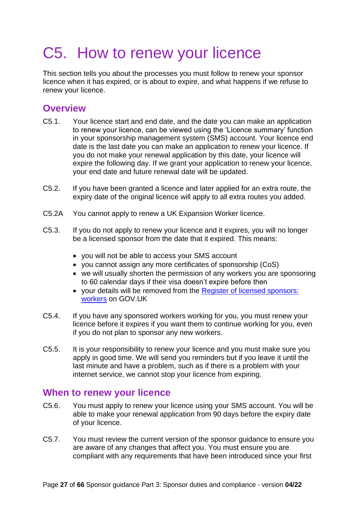## <span id="page-26-0"></span>C5. How to renew your licence

This section tells you about the processes you must follow to renew your sponsor licence when it has expired, or is about to expire, and what happens if we refuse to renew your licence.

## <span id="page-26-1"></span>**Overview**

- C5.1. Your licence start and end date, and the date you can make an application to renew your licence, can be viewed using the 'Licence summary' function in your sponsorship management system (SMS) account. Your licence end date is the last date you can make an application to renew your licence. If you do not make your renewal application by this date, your licence will expire the following day. If we grant your application to renew your licence, your end date and future renewal date will be updated.
- C5.2. If you have been granted a licence and later applied for an extra route, the expiry date of the original licence will apply to all extra routes you added.
- C5.2A You cannot apply to renew a UK Expansion Worker licence.
- C5.3. If you do not apply to renew your licence and it expires, you will no longer be a licensed sponsor from the date that it expired. This means:
	- you will not be able to access your SMS account
	- you cannot assign any more certificates of sponsorship (CoS)
	- we will usually shorten the permission of any workers you are sponsoring to 60 calendar days if their visa doesn't expire before then
	- your details will be removed from the [Register of licensed sponsors:](https://www.gov.uk/government/publications/register-of-licensed-sponsors-workers)  [workers](https://www.gov.uk/government/publications/register-of-licensed-sponsors-workers) on GOV.UK
- C5.4. If you have any sponsored workers working for you, you must renew your licence before it expires if you want them to continue working for you, even if you do not plan to sponsor any new workers.
- C5.5. It is your responsibility to renew your licence and you must make sure you apply in good time. We will send you reminders but if you leave it until the last minute and have a problem, such as if there is a problem with your internet service, we cannot stop your licence from expiring.

## <span id="page-26-2"></span>**When to renew your licence**

- C5.6. You must apply to renew your licence using your SMS account. You will be able to make your renewal application from 90 days before the expiry date of your licence.
- C5.7. You must review the current version of the sponsor guidance to ensure you are aware of any changes that affect you. You must ensure you are compliant with any requirements that have been introduced since your first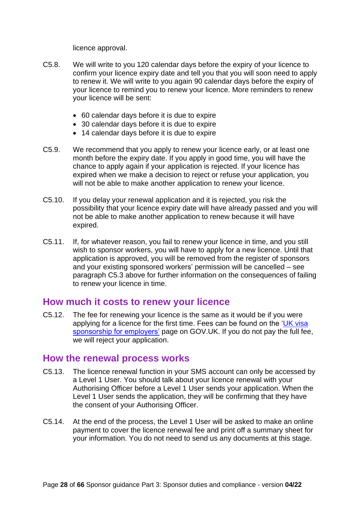licence approval.

- C5.8. We will write to you 120 calendar days before the expiry of your licence to confirm your licence expiry date and tell you that you will soon need to apply to renew it. We will write to you again 90 calendar days before the expiry of your licence to remind you to renew your licence. More reminders to renew your licence will be sent:
	- 60 calendar days before it is due to expire
	- 30 calendar days before it is due to expire
	- 14 calendar days before it is due to expire
- C5.9. We recommend that you apply to renew your licence early, or at least one month before the expiry date. If you apply in good time, you will have the chance to apply again if your application is rejected. If your licence has expired when we make a decision to reject or refuse your application, you will not be able to make another application to renew your licence.
- C5.10. If you delay your renewal application and it is rejected, you risk the possibility that your licence expiry date will have already passed and you will not be able to make another application to renew because it will have expired.
- C5.11. If, for whatever reason, you fail to renew your licence in time, and you still wish to sponsor workers, you will have to apply for a new licence. Until that application is approved, you will be removed from the register of sponsors and your existing sponsored workers' permission will be cancelled – see paragraph C5.3 above for further information on the consequences of failing to renew your licence in time.

## <span id="page-27-0"></span>**How much it costs to renew your licence**

C5.12. The fee for renewing your licence is the same as it would be if you were applying for a licence for the first time. Fees can be found on the 'UK visa [sponsorship for employers'](https://www.gov.uk/uk-visa-sponsorship-employers/apply-for-your-licence) page on GOV.UK. If you do not pay the full fee, we will reject your application.

### <span id="page-27-1"></span>**How the renewal process works**

- C5.13. The licence renewal function in your SMS account can only be accessed by a Level 1 User. You should talk about your licence renewal with your Authorising Officer before a Level 1 User sends your application. When the Level 1 User sends the application, they will be confirming that they have the consent of your Authorising Officer.
- C5.14. At the end of the process, the Level 1 User will be asked to make an online payment to cover the licence renewal fee and print off a summary sheet for your information. You do not need to send us any documents at this stage.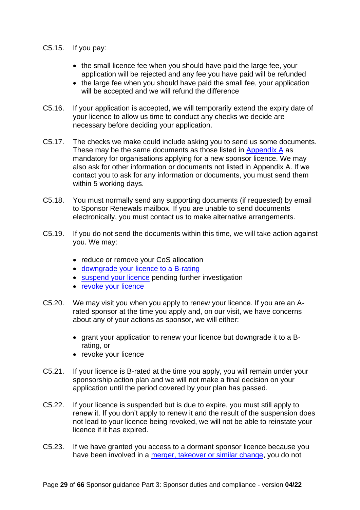- C5.15. If you pay:
	- the small licence fee when you should have paid the large fee, your application will be rejected and any fee you have paid will be refunded
	- the large fee when you should have paid the small fee, your application will be accepted and we will refund the difference
- C5.16. If your application is accepted, we will temporarily extend the expiry date of your licence to allow us time to conduct any checks we decide are necessary before deciding your application.
- C5.17. The checks we make could include asking you to send us some documents. These may be the same documents as those listed in [Appendix A](https://www.gov.uk/government/publications/supporting-documents-for-sponsor-applications-appendix-a) as mandatory for organisations applying for a new sponsor licence. We may also ask for other information or documents not listed in Appendix A. If we contact you to ask for any information or documents, you must send them within 5 working days.
- C5.18. You must normally send any supporting documents (if requested) by email to Sponsor Renewals mailbox. If you are unable to send documents electronically, you must contact us to make alternative arrangements.
- C5.19. If you do not send the documents within this time, we will take action against you. We may:
	- reduce or remove your CoS allocation
	- [downgrade your licence to a B-rating](#page-36-0)
	- [suspend your licence](#page-41-0) pending further investigation
	- [revoke your licence](#page-44-0)
- C5.20. We may visit you when you apply to renew your licence. If you are an Arated sponsor at the time you apply and, on our visit, we have concerns about any of your actions as sponsor, we will either:
	- grant your application to renew your licence but downgrade it to a Brating, or
	- revoke your licence
- C5.21. If your licence is B-rated at the time you apply, you will remain under your sponsorship action plan and we will not make a final decision on your application until the period covered by your plan has passed.
- C5.22. If your licence is suspended but is due to expire, you must still apply to renew it. If you don't apply to renew it and the result of the suspension does not lead to your licence being revoked, we will not be able to reinstate your licence if it has expired.
- C5.23. If we have granted you access to a dormant sponsor licence because you have been involved in a [merger, takeover or similar change,](#page-20-2) you do not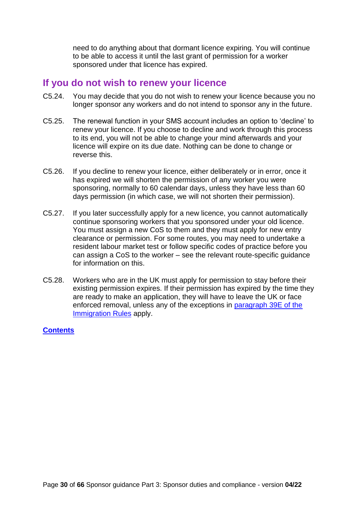need to do anything about that dormant licence expiring. You will continue to be able to access it until the last grant of permission for a worker sponsored under that licence has expired.

#### <span id="page-29-0"></span>**If you do not wish to renew your licence**

- C5.24. You may decide that you do not wish to renew your licence because you no longer sponsor any workers and do not intend to sponsor any in the future.
- C5.25. The renewal function in your SMS account includes an option to 'decline' to renew your licence. If you choose to decline and work through this process to its end, you will not be able to change your mind afterwards and your licence will expire on its due date. Nothing can be done to change or reverse this.
- C5.26. If you decline to renew your licence, either deliberately or in error, once it has expired we will shorten the permission of any worker you were sponsoring, normally to 60 calendar days, unless they have less than 60 days permission (in which case, we will not shorten their permission).
- C5.27. If you later successfully apply for a new licence, you cannot automatically continue sponsoring workers that you sponsored under your old licence. You must assign a new CoS to them and they must apply for new entry clearance or permission. For some routes, you may need to undertake a resident labour market test or follow specific codes of practice before you can assign a CoS to the worker – see the relevant route-specific guidance for information on this.
- C5.28. Workers who are in the UK must apply for permission to stay before their existing permission expires. If their permission has expired by the time they are ready to make an application, they will have to leave the UK or face enforced removal, unless any of the exceptions in [paragraph 39E of the](https://www.gov.uk/guidance/immigration-rules/immigration-rules-part-1-leave-to-enter-or-stay-in-the-uk#pt1stay)  [Immigration Rules](https://www.gov.uk/guidance/immigration-rules/immigration-rules-part-1-leave-to-enter-or-stay-in-the-uk#pt1stay) apply.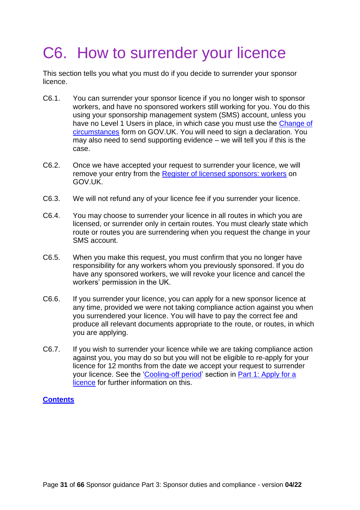# <span id="page-30-0"></span>C6. How to surrender your licence

This section tells you what you must do if you decide to surrender your sponsor licence.

- C6.1. You can surrender your sponsor licence if you no longer wish to sponsor workers, and have no sponsored workers still working for you. You do this using your sponsorship management system (SMS) account, unless you have no Level 1 Users in place, in which case you must use the Change of [circumstances](http://www.gov.uk/government/publications/sponsor-change-of-circumstances-form) form on GOV.UK. You will need to sign a declaration. You may also need to send supporting evidence – we will tell you if this is the case.
- C6.2. Once we have accepted your request to surrender your licence, we will remove your entry from the [Register of licensed sponsors: workers](https://www.gov.uk/government/publications/register-of-licensed-sponsors-workers) on GOV.UK.
- C6.3. We will not refund any of your licence fee if you surrender your licence.
- C6.4. You may choose to surrender your licence in all routes in which you are licensed, or surrender only in certain routes. You must clearly state which route or routes you are surrendering when you request the change in your SMS account.
- C6.5. When you make this request, you must confirm that you no longer have responsibility for any workers whom you previously sponsored. If you do have any sponsored workers, we will revoke your licence and cancel the workers' permission in the UK.
- C6.6. If you surrender your licence, you can apply for a new sponsor licence at any time, provided we were not taking compliance action against you when you surrendered your licence. You will have to pay the correct fee and produce all relevant documents appropriate to the route, or routes, in which you are applying.
- C6.7. If you wish to surrender your licence while we are taking compliance action against you, you may do so but you will not be eligible to re-apply for your licence for 12 months from the date we accept your request to surrender your licence. See the ['Cooling-off period'](https://www.gov.uk/government/publications/workers-and-temporary-workers-guidance-for-sponsors-part-1-apply-for-a-licence/workers-and-temporary-workers-guidance-for-sponsors-part-1-apply-for-a-licence-accessible-version#If-your-application-is-refused) section in [Part 1: Apply for a](https://www.gov.uk/government/publications/workers-and-temporary-workers-guidance-for-sponsors-part-1-apply-for-a-licence)  [licence](https://www.gov.uk/government/publications/workers-and-temporary-workers-guidance-for-sponsors-part-1-apply-for-a-licence) for further information on this.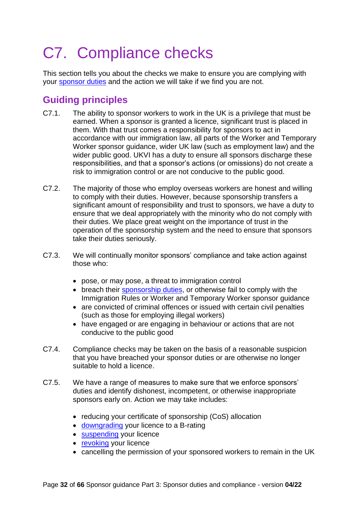# <span id="page-31-0"></span>C7. Compliance checks

This section tells you about the checks we make to ensure you are complying with your [sponsor duties](#page-7-0) and the action we will take if we find you are not.

## <span id="page-31-1"></span>**Guiding principles**

- C7.1. The ability to sponsor workers to work in the UK is a privilege that must be earned. When a sponsor is granted a licence, significant trust is placed in them. With that trust comes a responsibility for sponsors to act in accordance with our immigration law, all parts of the Worker and Temporary Worker sponsor guidance, wider UK law (such as employment law) and the wider public good. UKVI has a duty to ensure all sponsors discharge these responsibilities, and that a sponsor's actions (or omissions) do not create a risk to immigration control or are not conducive to the public good.
- C7.2. The majority of those who employ overseas workers are honest and willing to comply with their duties. However, because sponsorship transfers a significant amount of responsibility and trust to sponsors, we have a duty to ensure that we deal appropriately with the minority who do not comply with their duties. We place great weight on the importance of trust in the operation of the sponsorship system and the need to ensure that sponsors take their duties seriously.
- C7.3. We will continually monitor sponsors' compliance and take action against those who:
	- pose, or may pose, a threat to immigration control
	- breach their [sponsorship duties,](#page-7-0) or otherwise fail to comply with the Immigration Rules or Worker and Temporary Worker sponsor guidance
	- are convicted of criminal offences or issued with certain civil penalties (such as those for employing illegal workers)
	- have engaged or are engaging in behaviour or actions that are not conducive to the public good
- C7.4. Compliance checks may be taken on the basis of a reasonable suspicion that you have breached your sponsor duties or are otherwise no longer suitable to hold a licence.
- C7.5. We have a range of measures to make sure that we enforce sponsors' duties and identify dishonest, incompetent, or otherwise inappropriate sponsors early on. Action we may take includes:
	- reducing your certificate of sponsorship (CoS) allocation
	- [downgrading](#page-36-0) your licence to a B-rating
	- [suspending](#page-41-0) your licence
	- [revoking](#page-44-0) your licence
	- cancelling the permission of your sponsored workers to remain in the UK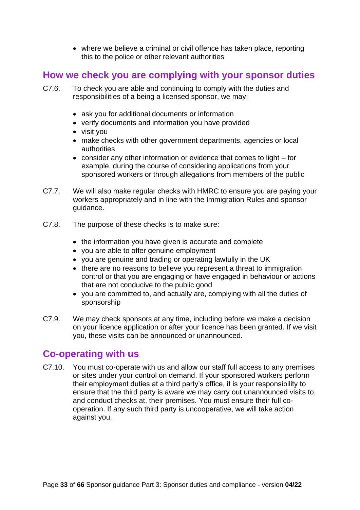• where we believe a criminal or civil offence has taken place, reporting this to the police or other relevant authorities

## <span id="page-32-0"></span>**How we check you are complying with your sponsor duties**

- C7.6. To check you are able and continuing to comply with the duties and responsibilities of a being a licensed sponsor, we may:
	- ask you for additional documents or information
	- verify documents and information you have provided
	- visit you
	- make checks with other government departments, agencies or local authorities
	- consider any other information or evidence that comes to light for example, during the course of considering applications from your sponsored workers or through allegations from members of the public
- C7.7. We will also make regular checks with HMRC to ensure you are paying your workers appropriately and in line with the Immigration Rules and sponsor guidance.
- C7.8. The purpose of these checks is to make sure:
	- the information you have given is accurate and complete
	- you are able to offer genuine employment
	- you are genuine and trading or operating lawfully in the UK
	- there are no reasons to believe you represent a threat to immigration control or that you are engaging or have engaged in behaviour or actions that are not conducive to the public good
	- you are committed to, and actually are, complying with all the duties of sponsorship
- C7.9. We may check sponsors at any time, including before we make a decision on your licence application or after your licence has been granted. If we visit you, these visits can be announced or unannounced.

## <span id="page-32-1"></span>**Co-operating with us**

C7.10. You must co-operate with us and allow our staff full access to any premises or sites under your control on demand. If your sponsored workers perform their employment duties at a third party's office, it is your responsibility to ensure that the third party is aware we may carry out unannounced visits to, and conduct checks at, their premises. You must ensure their full cooperation. If any such third party is uncooperative, we will take action against you.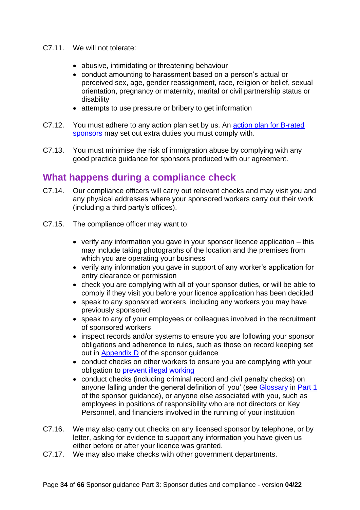- C7.11. We will not tolerate:
	- abusive, intimidating or threatening behaviour
	- conduct amounting to harassment based on a person's actual or perceived sex, age, gender reassignment, race, religion or belief, sexual orientation, pregnancy or maternity, marital or civil partnership status or disability
	- attempts to use pressure or bribery to get information
- C7.12. You must adhere to any action plan set by us. An action plan for B-rated [sponsors](#page-38-0) may set out extra duties you must comply with.
- C7.13. You must minimise the risk of immigration abuse by complying with any good practice guidance for sponsors produced with our agreement.

## <span id="page-33-0"></span>**What happens during a compliance check**

- C7.14. Our compliance officers will carry out relevant checks and may visit you and any physical addresses where your sponsored workers carry out their work (including a third party's offices).
- C7.15. The compliance officer may want to:
	- verify any information you gave in your sponsor licence application this may include taking photographs of the location and the premises from which you are operating your business
	- verify any information you gave in support of any worker's application for entry clearance or permission
	- check you are complying with all of your sponsor duties, or will be able to comply if they visit you before your licence application has been decided
	- speak to any sponsored workers, including any workers you may have previously sponsored
	- speak to any of your employees or colleagues involved in the recruitment of sponsored workers
	- inspect records and/or systems to ensure you are following your sponsor obligations and adherence to rules, such as those on record keeping set out in [Appendix D](https://www.gov.uk/government/publications/keep-records-for-sponsorship-appendix-d) of the sponsor guidance
	- conduct checks on other workers to ensure you are complying with your obligation to [prevent illegal working](#page-35-0)
	- conduct checks (including criminal record and civil penalty checks) on anyone falling under the general definition of 'you' (see [Glossary](https://www.gov.uk/government/publications/workers-and-temporary-workers-guidance-for-sponsors-part-1-apply-for-a-licence/workers-and-temporary-workers-guidance-for-sponsors-part-1-apply-for-a-licence-accessible-version#glossary) in [Part 1](https://www.gov.uk/government/publications/workers-and-temporary-workers-guidance-for-sponsors-part-1-apply-for-a-licence) of the sponsor guidance), or anyone else associated with you, such as employees in positions of responsibility who are not directors or Key Personnel, and financiers involved in the running of your institution
- C7.16. We may also carry out checks on any licensed sponsor by telephone, or by letter, asking for evidence to support any information you have given us either before or after your licence was granted.
- C7.17. We may also make checks with other government departments.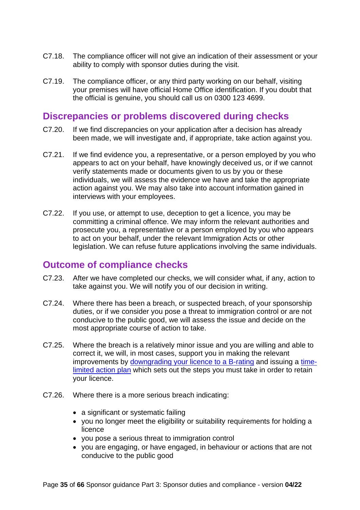- C7.18. The compliance officer will not give an indication of their assessment or your ability to comply with sponsor duties during the visit.
- C7.19. The compliance officer, or any third party working on our behalf, visiting your premises will have official Home Office identification. If you doubt that the official is genuine, you should call us on 0300 123 4699.

## <span id="page-34-0"></span>**Discrepancies or problems discovered during checks**

- C7.20. If we find discrepancies on your application after a decision has already been made, we will investigate and, if appropriate, take action against you.
- C7.21. If we find evidence you, a representative, or a person employed by you who appears to act on your behalf, have knowingly deceived us, or if we cannot verify statements made or documents given to us by you or these individuals, we will assess the evidence we have and take the appropriate action against you. We may also take into account information gained in interviews with your employees.
- C7.22. If you use, or attempt to use, deception to get a licence, you may be committing a criminal offence. We may inform the relevant authorities and prosecute you, a representative or a person employed by you who appears to act on your behalf, under the relevant Immigration Acts or other legislation. We can refuse future applications involving the same individuals.

### <span id="page-34-1"></span>**Outcome of compliance checks**

- C7.23. After we have completed our checks, we will consider what, if any, action to take against you. We will notify you of our decision in writing.
- C7.24. Where there has been a breach, or suspected breach, of your sponsorship duties, or if we consider you pose a threat to immigration control or are not conducive to the public good, we will assess the issue and decide on the most appropriate course of action to take.
- C7.25. Where the breach is a relatively minor issue and you are willing and able to correct it, we will, in most cases, support you in making the relevant improvements by [downgrading your licence to a B-rating](#page-36-0) and issuing a [time](#page-38-0)limited [action plan](#page-38-0) which sets out the steps you must take in order to retain your licence.
- C7.26. Where there is a more serious breach indicating:
	- a significant or systematic failing
	- you no longer meet the eligibility or suitability requirements for holding a licence
	- you pose a serious threat to immigration control
	- you are engaging, or have engaged, in behaviour or actions that are not conducive to the public good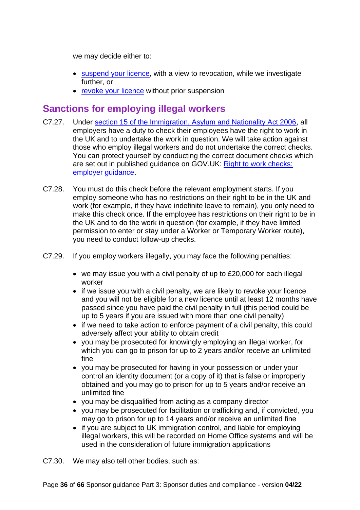we may decide either to:

- [suspend your licence,](#page-41-0) with a view to revocation, while we investigate further, or
- [revoke your licence](#page-44-0) without prior suspension

## <span id="page-35-0"></span>**Sanctions for employing illegal workers**

- C7.27. Under [section 15 of the Immigration, Asylum and Nationality Act 2006,](http://www.legislation.gov.uk/ukpga/2006/13/section/15) all employers have a duty to check their employees have the right to work in the UK and to undertake the work in question. We will take action against those who employ illegal workers and do not undertake the correct checks. You can protect yourself by conducting the correct document checks which are set out in published guidance on GOV.UK: [Right to work checks:](https://www.gov.uk/government/collections/right-to-work-checks-employer-guidance)  employer quidance.
- C7.28. You must do this check before the relevant employment starts. If you employ someone who has no restrictions on their right to be in the UK and work (for example, if they have indefinite leave to remain), you only need to make this check once. If the employee has restrictions on their right to be in the UK and to do the work in question (for example, if they have limited permission to enter or stay under a Worker or Temporary Worker route), you need to conduct follow-up checks.
- C7.29. If you employ workers illegally, you may face the following penalties:
	- we may issue you with a civil penalty of up to £20,000 for each illegal worker
	- if we issue you with a civil penalty, we are likely to revoke your licence and you will not be eligible for a new licence until at least 12 months have passed since you have paid the civil penalty in full (this period could be up to 5 years if you are issued with more than one civil penalty)
	- if we need to take action to enforce payment of a civil penalty, this could adversely affect your ability to obtain credit
	- you may be prosecuted for knowingly employing an illegal worker, for which you can go to prison for up to 2 years and/or receive an unlimited fine
	- you may be prosecuted for having in your possession or under your control an identity document (or a copy of it) that is false or improperly obtained and you may go to prison for up to 5 years and/or receive an unlimited fine
	- you may be disqualified from acting as a company director
	- you may be prosecuted for facilitation or trafficking and, if convicted, you may go to prison for up to 14 years and/or receive an unlimited fine
	- if you are subject to UK immigration control, and liable for employing illegal workers, this will be recorded on Home Office systems and will be used in the consideration of future immigration applications
- C7.30. We may also tell other bodies, such as: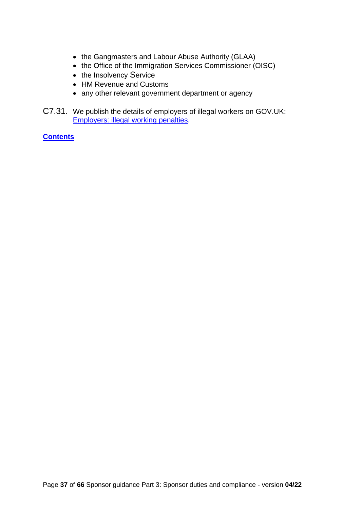- the Gangmasters and Labour Abuse Authority (GLAA)
- the Office of the Immigration Services Commissioner (OISC)
- the Insolvency Service
- HM Revenue and Customs
- any other relevant government department or agency
- <span id="page-36-0"></span>C7.31. We publish the details of employers of illegal workers on GOV.UK: [Employers: illegal working penalties.](https://www.gov.uk/government/collections/employers-illegal-working-penalties)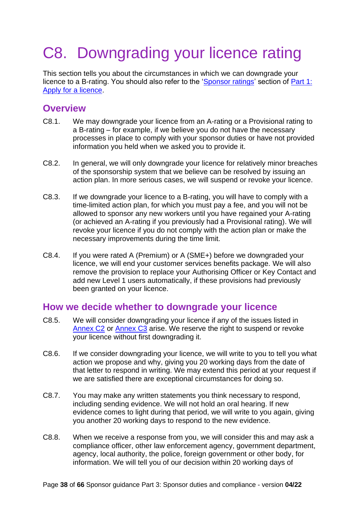# <span id="page-37-0"></span>C8. Downgrading your licence rating

This section tells you about the circumstances in which we can downgrade your licence to a B-rating. You should also refer to the ['Sponsor ratings'](https://www.gov.uk/government/publications/workers-and-temporary-workers-guidance-for-sponsors-part-1-apply-for-a-licence/workers-and-temporary-workers-guidance-for-sponsors-part-1-apply-for-a-licence-accessible-version#ratings) section of Part 1: [Apply for a licence.](https://www.gov.uk/government/publications/workers-and-temporary-workers-guidance-for-sponsors-part-1-apply-for-a-licence)

## <span id="page-37-1"></span>**Overview**

- C8.1. We may downgrade your licence from an A-rating or a Provisional rating to a B-rating – for example, if we believe you do not have the necessary processes in place to comply with your sponsor duties or have not provided information you held when we asked you to provide it.
- C8.2. In general, we will only downgrade your licence for relatively minor breaches of the sponsorship system that we believe can be resolved by issuing an action plan. In more serious cases, we will suspend or revoke your licence.
- C8.3. If we downgrade your licence to a B-rating, you will have to comply with a time-limited action plan, for which you must pay a fee, and you will not be allowed to sponsor any new workers until you have regained your A-rating (or achieved an A-rating if you previously had a Provisional rating). We will revoke your licence if you do not comply with the action plan or make the necessary improvements during the time limit.
- C8.4. If you were rated A (Premium) or A (SME+) before we downgraded your licence, we will end your customer services benefits package. We will also remove the provision to replace your Authorising Officer or Key Contact and add new Level 1 users automatically, if these provisions had previously been granted on your licence.

## <span id="page-37-2"></span>**How we decide whether to downgrade your licence**

- C8.5. We will consider downgrading your licence if any of the issues listed in [Annex C2](#page-54-0) or [Annex C3](#page-58-1) arise. We reserve the right to suspend or revoke your licence without first downgrading it.
- C8.6. If we consider downgrading your licence, we will write to you to tell you what action we propose and why, giving you 20 working days from the date of that letter to respond in writing. We may extend this period at your request if we are satisfied there are exceptional circumstances for doing so.
- C8.7. You may make any written statements you think necessary to respond, including sending evidence. We will not hold an oral hearing. If new evidence comes to light during that period, we will write to you again, giving you another 20 working days to respond to the new evidence.
- C8.8. When we receive a response from you, we will consider this and may ask a compliance officer, other law enforcement agency, government department, agency, local authority, the police, foreign government or other body, for information. We will tell you of our decision within 20 working days of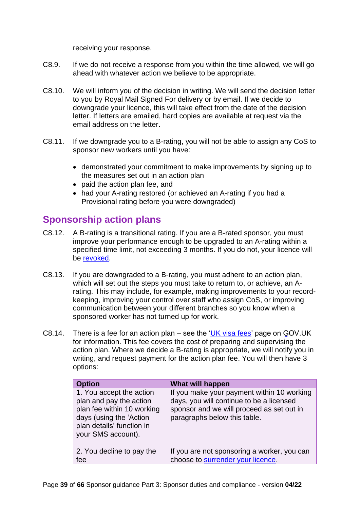receiving your response.

- C8.9. If we do not receive a response from you within the time allowed, we will go ahead with whatever action we believe to be appropriate.
- C8.10. We will inform you of the decision in writing. We will send the decision letter to you by Royal Mail Signed For delivery or by email. If we decide to downgrade your licence, this will take effect from the date of the decision letter. If letters are emailed, hard copies are available at request via the email address on the letter.
- C8.11. If we downgrade you to a B-rating, you will not be able to assign any CoS to sponsor new workers until you have:
	- demonstrated your commitment to make improvements by signing up to the measures set out in an action plan
	- paid the action plan fee, and
	- had your A-rating restored (or achieved an A-rating if you had a Provisional rating before you were downgraded)

## <span id="page-38-0"></span>**Sponsorship action plans**

- C8.12. A B-rating is a transitional rating. If you are a B-rated sponsor, you must improve your performance enough to be upgraded to an A-rating within a specified time limit, not exceeding 3 months. If you do not, your licence will be [revoked.](#page-44-0)
- C8.13. If you are downgraded to a B-rating, you must adhere to an action plan, which will set out the steps you must take to return to, or achieve, an Arating. This may include, for example, making improvements to your recordkeeping, improving your control over staff who assign CoS, or improving communication between your different branches so you know when a sponsored worker has not turned up for work.
- C8.14. There is a fee for an action plan see the ['UK visa fees'](https://www.gov.uk/government/publications/visa-regulations-revised-table) page on GOV.UK for information. This fee covers the cost of preparing and supervising the action plan. Where we decide a B-rating is appropriate, we will notify you in writing, and request payment for the action plan fee. You will then have 3 options:

| <b>Option</b>                                                                                                                                                   | <b>What will happen</b>                                                                                                                                             |
|-----------------------------------------------------------------------------------------------------------------------------------------------------------------|---------------------------------------------------------------------------------------------------------------------------------------------------------------------|
| 1. You accept the action<br>plan and pay the action<br>plan fee within 10 working<br>days (using the 'Action<br>plan details' function in<br>your SMS account). | If you make your payment within 10 working<br>days, you will continue to be a licensed<br>sponsor and we will proceed as set out in<br>paragraphs below this table. |
| 2. You decline to pay the<br>fee                                                                                                                                | If you are not sponsoring a worker, you can<br>choose to surrender your licence.                                                                                    |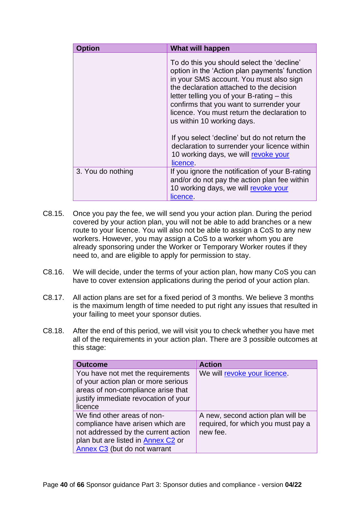| Option            | What will happen                                                                                                                                                                                                                                                                                                                                                                                                                                                                                               |
|-------------------|----------------------------------------------------------------------------------------------------------------------------------------------------------------------------------------------------------------------------------------------------------------------------------------------------------------------------------------------------------------------------------------------------------------------------------------------------------------------------------------------------------------|
|                   | To do this you should select the 'decline'<br>option in the 'Action plan payments' function<br>in your SMS account. You must also sign<br>the declaration attached to the decision<br>letter telling you of your B-rating - this<br>confirms that you want to surrender your<br>licence. You must return the declaration to<br>us within 10 working days.<br>If you select 'decline' but do not return the<br>declaration to surrender your licence within<br>10 working days, we will revoke your<br>licence. |
| 3. You do nothing | If you ignore the notification of your B-rating<br>and/or do not pay the action plan fee within<br>10 working days, we will revoke your<br>licence.                                                                                                                                                                                                                                                                                                                                                            |

- C8.15. Once you pay the fee, we will send you your action plan. During the period covered by your action plan, you will not be able to add branches or a new route to your licence. You will also not be able to assign a CoS to any new workers. However, you may assign a CoS to a worker whom you are already sponsoring under the Worker or Temporary Worker routes if they need to, and are eligible to apply for permission to stay.
- C8.16. We will decide, under the terms of your action plan, how many CoS you can have to cover extension applications during the period of your action plan.
- C8.17. All action plans are set for a fixed period of 3 months. We believe 3 months is the maximum length of time needed to put right any issues that resulted in your failing to meet your sponsor duties.
- C8.18. After the end of this period, we will visit you to check whether you have met all of the requirements in your action plan. There are 3 possible outcomes at this stage:

| <b>Outcome</b>                                                                                                                                                               | <b>Action</b>                                                                       |
|------------------------------------------------------------------------------------------------------------------------------------------------------------------------------|-------------------------------------------------------------------------------------|
| You have not met the requirements<br>of your action plan or more serious<br>areas of non-compliance arise that<br>justify immediate revocation of your<br>licence            | We will revoke your licence.                                                        |
| We find other areas of non-<br>compliance have arisen which are<br>not addressed by the current action<br>plan but are listed in Annex C2 or<br>Annex C3 (but do not warrant | A new, second action plan will be<br>required, for which you must pay a<br>new fee. |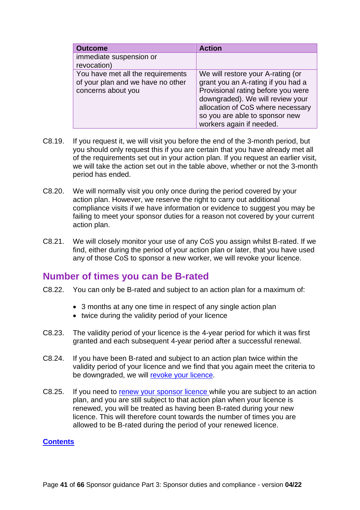| <b>Outcome</b>                                                                               | <b>Action</b>                                                                                                                                                                                                                                        |
|----------------------------------------------------------------------------------------------|------------------------------------------------------------------------------------------------------------------------------------------------------------------------------------------------------------------------------------------------------|
| immediate suspension or<br>revocation)                                                       |                                                                                                                                                                                                                                                      |
| You have met all the requirements<br>of your plan and we have no other<br>concerns about you | We will restore your A-rating (or<br>grant you an A-rating if you had a<br>Provisional rating before you were<br>downgraded). We will review your<br>allocation of CoS where necessary<br>so you are able to sponsor new<br>workers again if needed. |

- C8.19. If you request it, we will visit you before the end of the 3-month period, but you should only request this if you are certain that you have already met all of the requirements set out in your action plan. If you request an earlier visit, we will take the action set out in the table above, whether or not the 3-month period has ended.
- C8.20. We will normally visit you only once during the period covered by your action plan. However, we reserve the right to carry out additional compliance visits if we have information or evidence to suggest you may be failing to meet your sponsor duties for a reason not covered by your current action plan.
- C8.21. We will closely monitor your use of any CoS you assign whilst B-rated. If we find, either during the period of your action plan or later, that you have used any of those CoS to sponsor a new worker, we will revoke your licence.

### <span id="page-40-0"></span>**Number of times you can be B-rated**

- C8.22. You can only be B-rated and subject to an action plan for a maximum of:
	- 3 months at any one time in respect of any single action plan
	- twice during the validity period of your licence
- C8.23. The validity period of your licence is the 4-year period for which it was first granted and each subsequent 4-year period after a successful renewal.
- C8.24. If you have been B-rated and subject to an action plan twice within the validity period of your licence and we find that you again meet the criteria to be downgraded, we will [revoke your licence.](#page-44-0)
- C8.25. If you need to [renew your sponsor licence](#page-26-0) while you are subject to an action plan, and you are still subject to that action plan when your licence is renewed, you will be treated as having been B-rated during your new licence. This will therefore count towards the number of times you are allowed to be B-rated during the period of your renewed licence.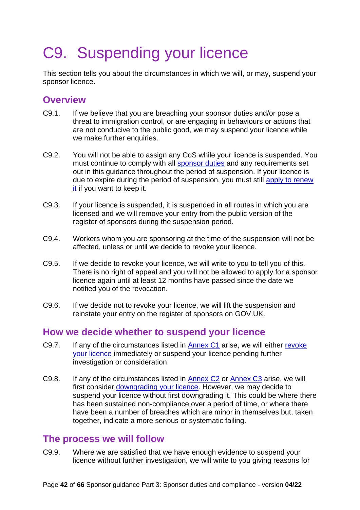# <span id="page-41-0"></span>C9. Suspending your licence

This section tells you about the circumstances in which we will, or may, suspend your sponsor licence.

## <span id="page-41-1"></span>**Overview**

- C9.1. If we believe that you are breaching your sponsor duties and/or pose a threat to immigration control, or are engaging in behaviours or actions that are not conducive to the public good, we may suspend your licence while we make further enquiries.
- C9.2. You will not be able to assign any CoS while your licence is suspended. You must continue to comply with all [sponsor duties](#page-7-0) and any requirements set out in this guidance throughout the period of suspension. If your licence is due to expire during the period of suspension, you must still [apply to renew](#page-26-0)  [it](#page-26-0) if you want to keep it.
- C9.3. If your licence is suspended, it is suspended in all routes in which you are licensed and we will remove your entry from the public version of the register of sponsors during the suspension period.
- C9.4. Workers whom you are sponsoring at the time of the suspension will not be affected, unless or until we decide to revoke your licence.
- C9.5. If we decide to revoke your licence, we will write to you to tell you of this. There is no right of appeal and you will not be allowed to apply for a sponsor licence again until at least 12 months have passed since the date we notified you of the revocation.
- C9.6. If we decide not to revoke your licence, we will lift the suspension and reinstate your entry on the register of sponsors on GOV.UK.

### <span id="page-41-2"></span>**How we decide whether to suspend your licence**

- C9.7. If any of the circumstances listed in [Annex C1](#page-47-0) arise, we will either revoke [your licence](#page-44-0) immediately or suspend your licence pending further investigation or consideration.
- C9.8. If any of the circumstances listed in [Annex](#page-54-0) C2 or [Annex C3](#page-58-1) arise, we will first consider [downgrading your licence.](#page-36-0) However, we may decide to suspend your licence without first downgrading it. This could be where there has been sustained non-compliance over a period of time, or where there have been a number of breaches which are minor in themselves but, taken together, indicate a more serious or systematic failing.

### <span id="page-41-3"></span>**The process we will follow**

C9.9. Where we are satisfied that we have enough evidence to suspend your licence without further investigation, we will write to you giving reasons for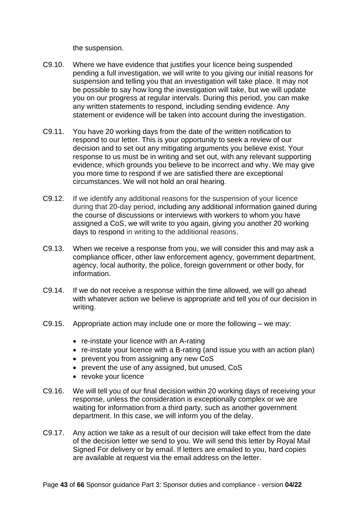the suspension.

- C9.10. Where we have evidence that justifies your licence being suspended pending a full investigation, we will write to you giving our initial reasons for suspension and telling you that an investigation will take place. It may not be possible to say how long the investigation will take, but we will update you on our progress at regular intervals. During this period, you can make any written statements to respond, including sending evidence. Any statement or evidence will be taken into account during the investigation.
- C9.11. You have 20 working days from the date of the written notification to respond to our letter. This is your opportunity to seek a review of our decision and to set out any mitigating arguments you believe exist. Your response to us must be in writing and set out, with any relevant supporting evidence, which grounds you believe to be incorrect and why. We may give you more time to respond if we are satisfied there are exceptional circumstances. We will not hold an oral hearing.
- C9.12. If we identify any additional reasons for the suspension of your licence during that 20-day period, including any additional information gained during the course of discussions or interviews with workers to whom you have assigned a CoS, we will write to you again, giving you another 20 working days to respond in writing to the additional reasons.
- C9.13. When we receive a response from you, we will consider this and may ask a compliance officer, other law enforcement agency, government department, agency, local authority, the police, foreign government or other body, for information.
- C9.14. If we do not receive a response within the time allowed, we will go ahead with whatever action we believe is appropriate and tell you of our decision in writing.
- C9.15. Appropriate action may include one or more the following we may:
	- re-instate your licence with an A-rating
	- re-instate your licence with a B-rating (and issue you with an action plan)
	- prevent you from assigning any new CoS
	- prevent the use of any assigned, but unused, CoS
	- revoke your licence
- C9.16. We will tell you of our final decision within 20 working days of receiving your response, unless the consideration is exceptionally complex or we are waiting for information from a third party, such as another government department. In this case, we will inform you of the delay.
- C9.17. Any action we take as a result of our decision will take effect from the date of the decision letter we send to you. We will send this letter by Royal Mail Signed For delivery or by email. If letters are emailed to you, hard copies are available at request via the email address on the letter.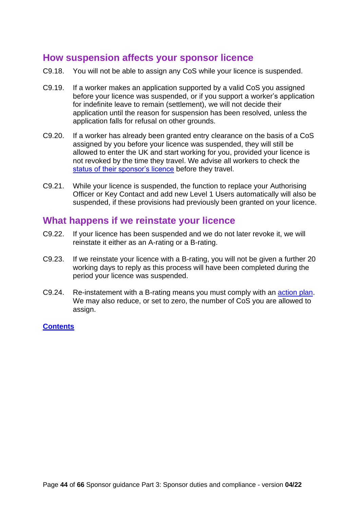## <span id="page-43-0"></span>**How suspension affects your sponsor licence**

- C9.18. You will not be able to assign any CoS while your licence is suspended.
- C9.19. If a worker makes an application supported by a valid CoS you assigned before your licence was suspended, or if you support a worker's application for indefinite leave to remain (settlement), we will not decide their application until the reason for suspension has been resolved, unless the application falls for refusal on other grounds.
- C9.20. If a worker has already been granted entry clearance on the basis of a CoS assigned by you before your licence was suspended, they will still be allowed to enter the UK and start working for you, provided your licence is not revoked by the time they travel. We advise all workers to check the [status of their sponsor's licence](https://www.gov.uk/government/publications/register-of-licensed-sponsors-workers) before they travel.
- C9.21. While your licence is suspended, the function to replace your Authorising Officer or Key Contact and add new Level 1 Users automatically will also be suspended, if these provisions had previously been granted on your licence.

## <span id="page-43-1"></span>**What happens if we reinstate your licence**

- C9.22. If your licence has been suspended and we do not later revoke it, we will reinstate it either as an A-rating or a B-rating.
- C9.23. If we reinstate your licence with a B-rating, you will not be given a further 20 working days to reply as this process will have been completed during the period your licence was suspended.
- C9.24. Re-instatement with a B-rating means you must comply with an [action plan.](#page-38-0) We may also reduce, or set to zero, the number of CoS you are allowed to assign.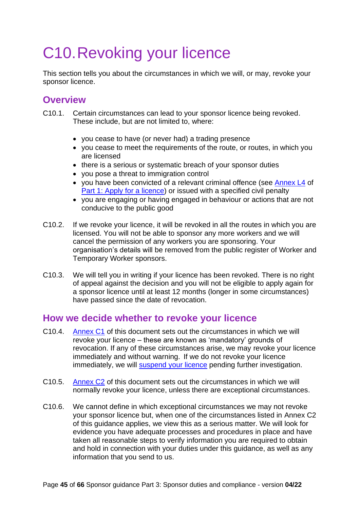# <span id="page-44-0"></span>C10.Revoking your licence

This section tells you about the circumstances in which we will, or may, revoke your sponsor licence.

## <span id="page-44-1"></span>**Overview**

- C10.1. Certain circumstances can lead to your sponsor licence being revoked. These include, but are not limited to, where:
	- you cease to have (or never had) a trading presence
	- you cease to meet the requirements of the route, or routes, in which you are licensed
	- there is a serious or systematic breach of your sponsor duties
	- you pose a threat to immigration control
	- you have been convicted of a relevant criminal offence (see [Annex L4](https://www.gov.uk/government/publications/workers-and-temporary-workers-guidance-for-sponsors-part-1-apply-for-a-licence/workers-and-temporary-workers-guidance-for-sponsors-part-1-apply-for-a-licence-accessible-version#annexL4) of [Part 1: Apply for a licence\)](https://www.gov.uk/government/publications/workers-and-temporary-workers-guidance-for-sponsors-part-1-apply-for-a-licence) or issued with a specified civil penalty
	- you are engaging or having engaged in behaviour or actions that are not conducive to the public good
- C10.2. If we revoke your licence, it will be revoked in all the routes in which you are licensed. You will not be able to sponsor any more workers and we will cancel the permission of any workers you are sponsoring. Your organisation's details will be removed from the public register of Worker and Temporary Worker sponsors.
- C10.3. We will tell you in writing if your licence has been revoked. There is no right of appeal against the decision and you will not be eligible to apply again for a sponsor licence until at least 12 months (longer in some circumstances) have passed since the date of revocation.

## <span id="page-44-2"></span>**How we decide whether to revoke your licence**

- C10.4. [Annex](#page-47-0) C1 of this document sets out the circumstances in which we will revoke your licence – these are known as 'mandatory' grounds of revocation. If any of these circumstances arise, we may revoke your licence immediately and without warning. If we do not revoke your licence immediately, we will [suspend your licence](#page-41-0) pending further investigation.
- C10.5. [Annex C2](#page-54-0) of this document sets out the circumstances in which we will normally revoke your licence, unless there are exceptional circumstances.
- C10.6. We cannot define in which exceptional circumstances we may not revoke your sponsor licence but, when one of the circumstances listed in Annex C2 of this guidance applies, we view this as a serious matter. We will look for evidence you have adequate processes and procedures in place and have taken all reasonable steps to verify information you are required to obtain and hold in connection with your duties under this guidance, as well as any information that you send to us.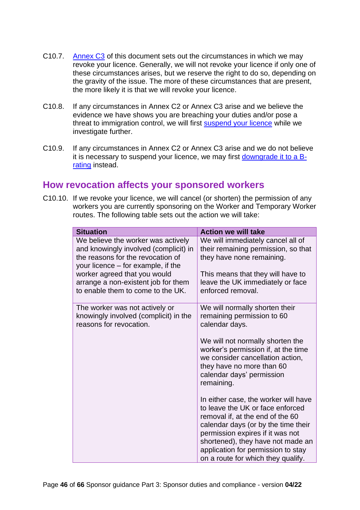- C10.7. [Annex C3](#page-58-1) of this document sets out the circumstances in which we may revoke your licence. Generally, we will not revoke your licence if only one of these circumstances arises, but we reserve the right to do so, depending on the gravity of the issue. The more of these circumstances that are present, the more likely it is that we will revoke your licence.
- C10.8. If any circumstances in Annex C2 or Annex C3 arise and we believe the evidence we have shows you are breaching your duties and/or pose a threat to immigration control, we will first [suspend your licence](#page-41-0) while we investigate further.
- C10.9. If any circumstances in Annex C2 or Annex C3 arise and we do not believe it is necessary to suspend your licence, we may first [downgrade it to a B](#page-36-0)[rating](#page-36-0) instead.

## <span id="page-45-0"></span>**How revocation affects your sponsored workers**

C10.10. If we revoke your licence, we will cancel (or shorten) the permission of any workers you are currently sponsoring on the Worker and Temporary Worker routes. The following table sets out the action we will take:

| <b>Situation</b>                                                                                                                                                                                                                                                   | <b>Action we will take</b>                                                                                                                                                                                                                                                                                                                                                                                                                                                                                                                                                        |
|--------------------------------------------------------------------------------------------------------------------------------------------------------------------------------------------------------------------------------------------------------------------|-----------------------------------------------------------------------------------------------------------------------------------------------------------------------------------------------------------------------------------------------------------------------------------------------------------------------------------------------------------------------------------------------------------------------------------------------------------------------------------------------------------------------------------------------------------------------------------|
| We believe the worker was actively<br>and knowingly involved (complicit) in<br>the reasons for the revocation of<br>your licence – for example, if the<br>worker agreed that you would<br>arrange a non-existent job for them<br>to enable them to come to the UK. | We will immediately cancel all of<br>their remaining permission, so that<br>they have none remaining.<br>This means that they will have to<br>leave the UK immediately or face<br>enforced removal.                                                                                                                                                                                                                                                                                                                                                                               |
| The worker was not actively or<br>knowingly involved (complicit) in the<br>reasons for revocation.                                                                                                                                                                 | We will normally shorten their<br>remaining permission to 60<br>calendar days.<br>We will not normally shorten the<br>worker's permission if, at the time<br>we consider cancellation action,<br>they have no more than 60<br>calendar days' permission<br>remaining.<br>In either case, the worker will have<br>to leave the UK or face enforced<br>removal if, at the end of the 60<br>calendar days (or by the time their<br>permission expires if it was not<br>shortened), they have not made an<br>application for permission to stay<br>on a route for which they qualify. |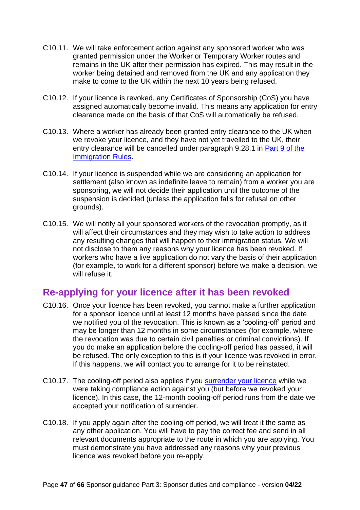- C10.11. We will take enforcement action against any sponsored worker who was granted permission under the Worker or Temporary Worker routes and remains in the UK after their permission has expired. This may result in the worker being detained and removed from the UK and any application they make to come to the UK within the next 10 years being refused.
- C10.12. If your licence is revoked, any Certificates of Sponsorship (CoS) you have assigned automatically become invalid. This means any application for entry clearance made on the basis of that CoS will automatically be refused.
- C10.13. Where a worker has already been granted entry clearance to the UK when we revoke your licence, and they have not yet travelled to the UK, their entry clearance will be cancelled under paragraph 9.28.1 in **Part 9 of the** [Immigration Rules.](https://www.gov.uk/guidance/immigration-rules/immigration-rules-part-9-grounds-for-refusal)
- C10.14. If your licence is suspended while we are considering an application for settlement (also known as indefinite leave to remain) from a worker you are sponsoring, we will not decide their application until the outcome of the suspension is decided (unless the application falls for refusal on other grounds).
- C10.15. We will notify all your sponsored workers of the revocation promptly, as it will affect their circumstances and they may wish to take action to address any resulting changes that will happen to their immigration status. We will not disclose to them any reasons why your licence has been revoked. If workers who have a live application do not vary the basis of their application (for example, to work for a different sponsor) before we make a decision, we will refuse it.

## <span id="page-46-0"></span>**Re-applying for your licence after it has been revoked**

- C10.16. Once your licence has been revoked, you cannot make a further application for a sponsor licence until at least 12 months have passed since the date we notified you of the revocation. This is known as a 'cooling-off' period and may be longer than 12 months in some circumstances (for example, where the revocation was due to certain civil penalties or criminal convictions). If you do make an application before the cooling-off period has passed, it will be refused. The only exception to this is if your licence was revoked in error. If this happens, we will contact you to arrange for it to be reinstated.
- C10.17. The cooling-off period also applies if you [surrender your licence](#page-30-0) while we were taking compliance action against you (but before we revoked your licence). In this case, the 12-month cooling-off period runs from the date we accepted your notification of surrender.
- C10.18. If you apply again after the cooling-off period, we will treat it the same as any other application. You will have to pay the correct fee and send in all relevant documents appropriate to the route in which you are applying. You must demonstrate you have addressed any reasons why your previous licence was revoked before you re-apply.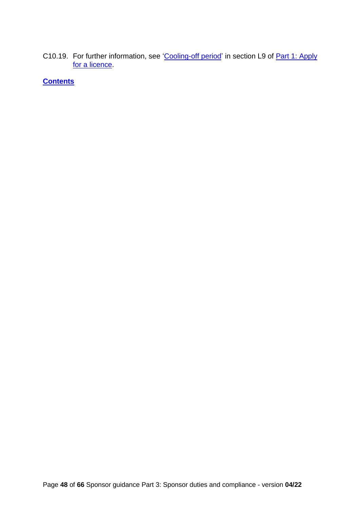<span id="page-47-0"></span>C10.19. For further information, see ['Cooling-off period'](https://www.gov.uk/government/publications/workers-and-temporary-workers-guidance-for-sponsors-part-1-apply-for-a-licence/workers-and-temporary-workers-guidance-for-sponsors-part-1-apply-for-a-licence-accessible-version#If-your-application-is-refused) in section L9 of Part 1: Apply [for a licence.](https://www.gov.uk/government/publications/workers-and-temporary-workers-guidance-for-sponsors-part-1-apply-for-a-licence)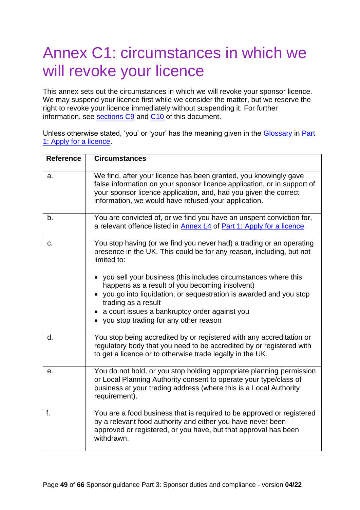## <span id="page-48-0"></span>Annex C1: circumstances in which we will revoke your licence

This annex sets out the circumstances in which we will revoke your sponsor licence. We may suspend your licence first while we consider the matter, but we reserve the right to revoke your licence immediately without suspending it. For further information, see [sections C9](#page-41-0) and [C10](#page-44-0) of this document.

Unless otherwise stated, 'you' or 'your' has the meaning given in the [Glossary](https://www.gov.uk/government/publications/workers-and-temporary-workers-guidance-for-sponsors-part-1-apply-for-a-licence/workers-and-temporary-workers-guidance-for-sponsors-part-1-apply-for-a-licence-accessible-version#glossary) in [Part](https://www.gov.uk/government/publications/workers-and-temporary-workers-guidance-for-sponsors-part-1-apply-for-a-licence)  [1: Apply for a licence.](https://www.gov.uk/government/publications/workers-and-temporary-workers-guidance-for-sponsors-part-1-apply-for-a-licence)

| <b>Reference</b> | <b>Circumstances</b>                                                                                                                                                                                                                                                    |
|------------------|-------------------------------------------------------------------------------------------------------------------------------------------------------------------------------------------------------------------------------------------------------------------------|
| a.               | We find, after your licence has been granted, you knowingly gave<br>false information on your sponsor licence application, or in support of<br>your sponsor licence application, and, had you given the correct<br>information, we would have refused your application. |
| b.               | You are convicted of, or we find you have an unspent conviction for,<br>a relevant offence listed in Annex L4 of Part 1: Apply for a licence.                                                                                                                           |
| C.               | You stop having (or we find you never had) a trading or an operating<br>presence in the UK. This could be for any reason, including, but not<br>limited to:                                                                                                             |
|                  | you sell your business (this includes circumstances where this<br>happens as a result of you becoming insolvent)<br>• you go into liquidation, or sequestration is awarded and you stop<br>trading as a result<br>• a court issues a bankruptcy order against you       |
|                  | • you stop trading for any other reason                                                                                                                                                                                                                                 |
| d.               | You stop being accredited by or registered with any accreditation or<br>regulatory body that you need to be accredited by or registered with<br>to get a licence or to otherwise trade legally in the UK.                                                               |
| е.               | You do not hold, or you stop holding appropriate planning permission<br>or Local Planning Authority consent to operate your type/class of<br>business at your trading address (where this is a Local Authority<br>requirement).                                         |
| f.               | You are a food business that is required to be approved or registered<br>by a relevant food authority and either you have never been<br>approved or registered, or you have, but that approval has been<br>withdrawn.                                                   |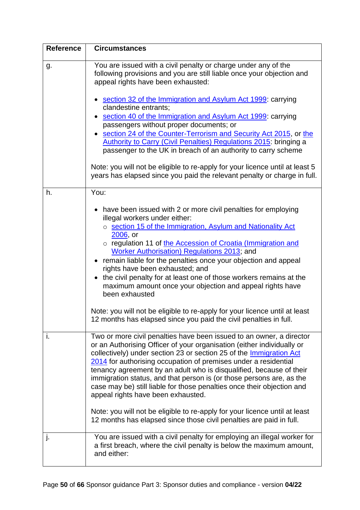| <b>Reference</b> | <b>Circumstances</b>                                                                                                                                                                                                                                                                                                                                                                                                                                                                                                                                    |
|------------------|---------------------------------------------------------------------------------------------------------------------------------------------------------------------------------------------------------------------------------------------------------------------------------------------------------------------------------------------------------------------------------------------------------------------------------------------------------------------------------------------------------------------------------------------------------|
| g.               | You are issued with a civil penalty or charge under any of the<br>following provisions and you are still liable once your objection and<br>appeal rights have been exhausted:                                                                                                                                                                                                                                                                                                                                                                           |
|                  | section 32 of the Immigration and Asylum Act 1999: carrying<br>clandestine entrants;<br>section 40 of the Immigration and Asylum Act 1999: carrying<br>passengers without proper documents; or<br>section 24 of the Counter-Terrorism and Security Act 2015, or the                                                                                                                                                                                                                                                                                     |
|                  | <b>Authority to Carry (Civil Penalties) Regulations 2015: bringing a</b><br>passenger to the UK in breach of an authority to carry scheme                                                                                                                                                                                                                                                                                                                                                                                                               |
|                  | Note: you will not be eligible to re-apply for your licence until at least 5<br>years has elapsed since you paid the relevant penalty or charge in full.                                                                                                                                                                                                                                                                                                                                                                                                |
| h.               | You:                                                                                                                                                                                                                                                                                                                                                                                                                                                                                                                                                    |
|                  | have been issued with 2 or more civil penalties for employing<br>$\bullet$<br>illegal workers under either:                                                                                                                                                                                                                                                                                                                                                                                                                                             |
|                  | o section 15 of the Immigration, Asylum and Nationality Act<br>2006, or                                                                                                                                                                                                                                                                                                                                                                                                                                                                                 |
|                  | o regulation 11 of the Accession of Croatia (Immigration and<br><b>Worker Authorisation) Regulations 2013; and</b>                                                                                                                                                                                                                                                                                                                                                                                                                                      |
|                  | remain liable for the penalties once your objection and appeal<br>rights have been exhausted; and                                                                                                                                                                                                                                                                                                                                                                                                                                                       |
|                  | the civil penalty for at least one of those workers remains at the<br>maximum amount once your objection and appeal rights have<br>been exhausted                                                                                                                                                                                                                                                                                                                                                                                                       |
|                  | Note: you will not be eligible to re-apply for your licence until at least<br>12 months has elapsed since you paid the civil penalties in full.                                                                                                                                                                                                                                                                                                                                                                                                         |
| i.               | Two or more civil penalties have been issued to an owner, a director<br>or an Authorising Officer of your organisation (either individually or<br>collectively) under section 23 or section 25 of the Immigration Act<br>2014 for authorising occupation of premises under a residential<br>tenancy agreement by an adult who is disqualified, because of their<br>immigration status, and that person is (or those persons are, as the<br>case may be) still liable for those penalties once their objection and<br>appeal rights have been exhausted. |
|                  | Note: you will not be eligible to re-apply for your licence until at least<br>12 months has elapsed since those civil penalties are paid in full.                                                                                                                                                                                                                                                                                                                                                                                                       |
| j.               | You are issued with a civil penalty for employing an illegal worker for<br>a first breach, where the civil penalty is below the maximum amount,<br>and either:                                                                                                                                                                                                                                                                                                                                                                                          |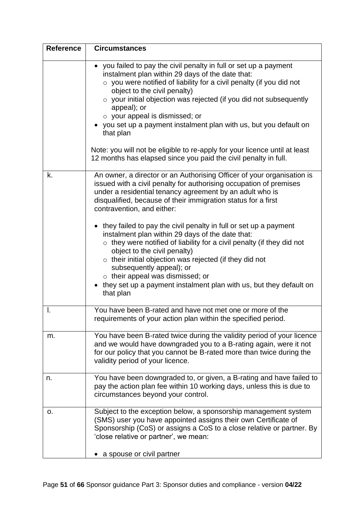| <b>Reference</b> | <b>Circumstances</b>                                                                                                                                                                                                                                                                                                                                                                                                                                                                                                                                                                                                                                                                                                                                                        |
|------------------|-----------------------------------------------------------------------------------------------------------------------------------------------------------------------------------------------------------------------------------------------------------------------------------------------------------------------------------------------------------------------------------------------------------------------------------------------------------------------------------------------------------------------------------------------------------------------------------------------------------------------------------------------------------------------------------------------------------------------------------------------------------------------------|
|                  | • you failed to pay the civil penalty in full or set up a payment<br>instalment plan within 29 days of the date that:<br>$\circ$ you were notified of liability for a civil penalty (if you did not<br>object to the civil penalty)<br>$\circ$ your initial objection was rejected (if you did not subsequently<br>appeal); or<br>o your appeal is dismissed; or<br>you set up a payment instalment plan with us, but you default on<br>that plan<br>Note: you will not be eligible to re-apply for your licence until at least<br>12 months has elapsed since you paid the civil penalty in full.                                                                                                                                                                          |
| k.               | An owner, a director or an Authorising Officer of your organisation is<br>issued with a civil penalty for authorising occupation of premises<br>under a residential tenancy agreement by an adult who is<br>disqualified, because of their immigration status for a first<br>contravention, and either:<br>• they failed to pay the civil penalty in full or set up a payment<br>instalment plan within 29 days of the date that:<br>$\circ$ they were notified of liability for a civil penalty (if they did not<br>object to the civil penalty)<br>$\circ$ their initial objection was rejected (if they did not<br>subsequently appeal); or<br>$\circ$ their appeal was dismissed; or<br>they set up a payment instalment plan with us, but they default on<br>that plan |
| I.               | You have been B-rated and have not met one or more of the<br>requirements of your action plan within the specified period.                                                                                                                                                                                                                                                                                                                                                                                                                                                                                                                                                                                                                                                  |
| m.               | You have been B-rated twice during the validity period of your licence<br>and we would have downgraded you to a B-rating again, were it not<br>for our policy that you cannot be B-rated more than twice during the<br>validity period of your licence.                                                                                                                                                                                                                                                                                                                                                                                                                                                                                                                     |
| n.               | You have been downgraded to, or given, a B-rating and have failed to<br>pay the action plan fee within 10 working days, unless this is due to<br>circumstances beyond your control.                                                                                                                                                                                                                                                                                                                                                                                                                                                                                                                                                                                         |
| 0.               | Subject to the exception below, a sponsorship management system<br>(SMS) user you have appointed assigns their own Certificate of<br>Sponsorship (CoS) or assigns a CoS to a close relative or partner. By<br>'close relative or partner', we mean:<br>a spouse or civil partner                                                                                                                                                                                                                                                                                                                                                                                                                                                                                            |
|                  |                                                                                                                                                                                                                                                                                                                                                                                                                                                                                                                                                                                                                                                                                                                                                                             |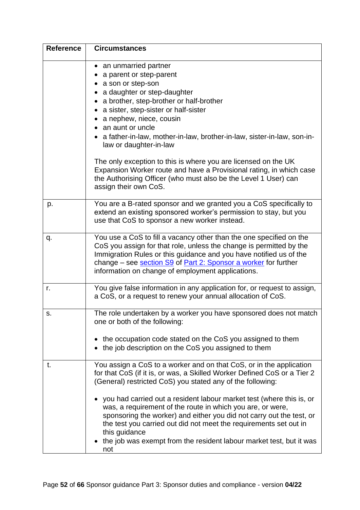| <b>Reference</b> | <b>Circumstances</b>                                                                                                                                                                                                                                                                                                                                                                                                                                                                                                                                                                            |
|------------------|-------------------------------------------------------------------------------------------------------------------------------------------------------------------------------------------------------------------------------------------------------------------------------------------------------------------------------------------------------------------------------------------------------------------------------------------------------------------------------------------------------------------------------------------------------------------------------------------------|
|                  | • an unmarried partner<br>a parent or step-parent<br>a son or step-son<br>a daughter or step-daughter<br>a brother, step-brother or half-brother<br>a sister, step-sister or half-sister<br>a nephew, niece, cousin<br>an aunt or uncle<br>a father-in-law, mother-in-law, brother-in-law, sister-in-law, son-in-<br>law or daughter-in-law                                                                                                                                                                                                                                                     |
|                  | The only exception to this is where you are licensed on the UK<br>Expansion Worker route and have a Provisional rating, in which case<br>the Authorising Officer (who must also be the Level 1 User) can<br>assign their own CoS.                                                                                                                                                                                                                                                                                                                                                               |
| p.               | You are a B-rated sponsor and we granted you a CoS specifically to<br>extend an existing sponsored worker's permission to stay, but you<br>use that CoS to sponsor a new worker instead.                                                                                                                                                                                                                                                                                                                                                                                                        |
| q.               | You use a CoS to fill a vacancy other than the one specified on the<br>CoS you assign for that role, unless the change is permitted by the<br>Immigration Rules or this guidance and you have notified us of the<br>change – see section S9 of Part 2: Sponsor a worker for further<br>information on change of employment applications.                                                                                                                                                                                                                                                        |
| r.               | You give false information in any application for, or request to assign,<br>a CoS, or a request to renew your annual allocation of CoS.                                                                                                                                                                                                                                                                                                                                                                                                                                                         |
| S.               | The role undertaken by a worker you have sponsored does not match<br>one or both of the following:<br>the occupation code stated on the CoS you assigned to them<br>the job description on the CoS you assigned to them                                                                                                                                                                                                                                                                                                                                                                         |
| t.               | You assign a CoS to a worker and on that CoS, or in the application<br>for that CoS (if it is, or was, a Skilled Worker Defined CoS or a Tier 2<br>(General) restricted CoS) you stated any of the following:<br>you had carried out a resident labour market test (where this is, or<br>was, a requirement of the route in which you are, or were,<br>sponsoring the worker) and either you did not carry out the test, or<br>the test you carried out did not meet the requirements set out in<br>this guidance<br>the job was exempt from the resident labour market test, but it was<br>not |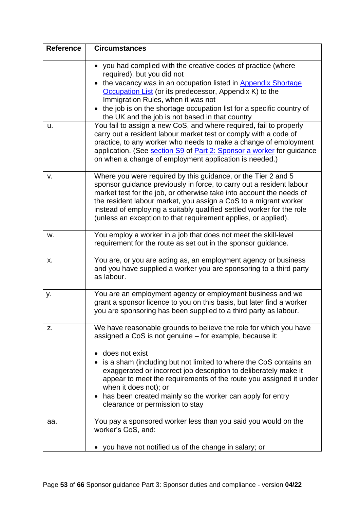| <b>Reference</b> | <b>Circumstances</b>                                                                                                                                                                                                                                                                                                                                                                                                         |
|------------------|------------------------------------------------------------------------------------------------------------------------------------------------------------------------------------------------------------------------------------------------------------------------------------------------------------------------------------------------------------------------------------------------------------------------------|
|                  | • you had complied with the creative codes of practice (where<br>required), but you did not                                                                                                                                                                                                                                                                                                                                  |
|                  | the vacancy was in an occupation listed in Appendix Shortage<br>Occupation List (or its predecessor, Appendix K) to the                                                                                                                                                                                                                                                                                                      |
|                  | Immigration Rules, when it was not<br>the job is on the shortage occupation list for a specific country of                                                                                                                                                                                                                                                                                                                   |
|                  | the UK and the job is not based in that country                                                                                                                                                                                                                                                                                                                                                                              |
| u.               | You fail to assign a new CoS, and where required, fail to properly<br>carry out a resident labour market test or comply with a code of<br>practice, to any worker who needs to make a change of employment<br>application. (See section S9 of Part 2: Sponsor a worker for guidance<br>on when a change of employment application is needed.)                                                                                |
| ν.               | Where you were required by this guidance, or the Tier 2 and 5<br>sponsor guidance previously in force, to carry out a resident labour<br>market test for the job, or otherwise take into account the needs of<br>the resident labour market, you assign a CoS to a migrant worker<br>instead of employing a suitably qualified settled worker for the role<br>(unless an exception to that requirement applies, or applied). |
| w.               | You employ a worker in a job that does not meet the skill-level<br>requirement for the route as set out in the sponsor guidance.                                                                                                                                                                                                                                                                                             |
| Х.               | You are, or you are acting as, an employment agency or business<br>and you have supplied a worker you are sponsoring to a third party<br>as labour.                                                                                                                                                                                                                                                                          |
| у.               | You are an employment agency or employment business and we<br>grant a sponsor licence to you on this basis, but later find a worker<br>you are sponsoring has been supplied to a third party as labour.                                                                                                                                                                                                                      |
| z.               | We have reasonable grounds to believe the role for which you have<br>assigned a CoS is not genuine – for example, because it:<br>does not exist                                                                                                                                                                                                                                                                              |
|                  | • is a sham (including but not limited to where the CoS contains an<br>exaggerated or incorrect job description to deliberately make it<br>appear to meet the requirements of the route you assigned it under<br>when it does not); or<br>has been created mainly so the worker can apply for entry<br>clearance or permission to stay                                                                                       |
| aa.              | You pay a sponsored worker less than you said you would on the<br>worker's CoS, and:                                                                                                                                                                                                                                                                                                                                         |
|                  | you have not notified us of the change in salary; or                                                                                                                                                                                                                                                                                                                                                                         |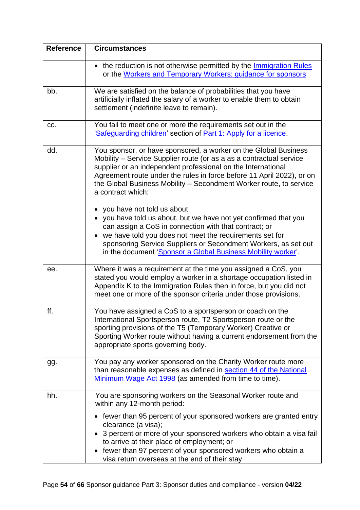| <b>Reference</b> | <b>Circumstances</b>                                                                                                                                                                                                                                                                                                                                                       |
|------------------|----------------------------------------------------------------------------------------------------------------------------------------------------------------------------------------------------------------------------------------------------------------------------------------------------------------------------------------------------------------------------|
|                  | • the reduction is not otherwise permitted by the <b>Immigration Rules</b><br>or the Workers and Temporary Workers: guidance for sponsors                                                                                                                                                                                                                                  |
| bb.              | We are satisfied on the balance of probabilities that you have<br>artificially inflated the salary of a worker to enable them to obtain<br>settlement (indefinite leave to remain).                                                                                                                                                                                        |
| CC.              | You fail to meet one or more the requirements set out in the<br>'Safeguarding children' section of Part 1: Apply for a licence.                                                                                                                                                                                                                                            |
| dd.              | You sponsor, or have sponsored, a worker on the Global Business<br>Mobility - Service Supplier route (or as a as a contractual service<br>supplier or an independent professional on the International<br>Agreement route under the rules in force before 11 April 2022), or on<br>the Global Business Mobility - Secondment Worker route, to service<br>a contract which: |
|                  | you have not told us about<br>• you have told us about, but we have not yet confirmed that you<br>can assign a CoS in connection with that contract; or<br>we have told you does not meet the requirements set for<br>sponsoring Service Suppliers or Secondment Workers, as set out<br>in the document 'Sponsor a Global Business Mobility worker'.                       |
| ee.              | Where it was a requirement at the time you assigned a CoS, you<br>stated you would employ a worker in a shortage occupation listed in<br>Appendix K to the Immigration Rules then in force, but you did not<br>meet one or more of the sponsor criteria under those provisions.                                                                                            |
| ff.              | You have assigned a CoS to a sportsperson or coach on the<br>International Sportsperson route, T2 Sportsperson route or the<br>sporting provisions of the T5 (Temporary Worker) Creative or<br>Sporting Worker route without having a current endorsement from the<br>appropriate sports governing body.                                                                   |
| gg.              | You pay any worker sponsored on the Charity Worker route more<br>than reasonable expenses as defined in section 44 of the National<br>Minimum Wage Act 1998 (as amended from time to time).                                                                                                                                                                                |
| hh.              | You are sponsoring workers on the Seasonal Worker route and<br>within any 12-month period:                                                                                                                                                                                                                                                                                 |
|                  | fewer than 95 percent of your sponsored workers are granted entry<br>clearance (a visa);<br>3 percent or more of your sponsored workers who obtain a visa fail<br>to arrive at their place of employment; or<br>fewer than 97 percent of your sponsored workers who obtain a<br>visa return overseas at the end of their stay                                              |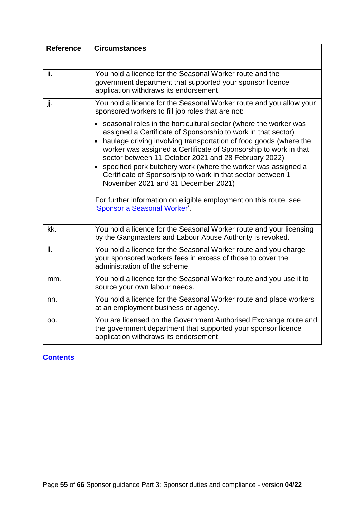<span id="page-54-0"></span>

| <b>Reference</b> | <b>Circumstances</b>                                                                                                                                                                                                                                                                                                                                                                                                                                                                                                                                                                                             |
|------------------|------------------------------------------------------------------------------------------------------------------------------------------------------------------------------------------------------------------------------------------------------------------------------------------------------------------------------------------------------------------------------------------------------------------------------------------------------------------------------------------------------------------------------------------------------------------------------------------------------------------|
| ii.              | You hold a licence for the Seasonal Worker route and the<br>government department that supported your sponsor licence<br>application withdraws its endorsement.                                                                                                                                                                                                                                                                                                                                                                                                                                                  |
| jj.              | You hold a licence for the Seasonal Worker route and you allow your<br>sponsored workers to fill job roles that are not:                                                                                                                                                                                                                                                                                                                                                                                                                                                                                         |
|                  | seasonal roles in the horticultural sector (where the worker was<br>assigned a Certificate of Sponsorship to work in that sector)<br>haulage driving involving transportation of food goods (where the<br>worker was assigned a Certificate of Sponsorship to work in that<br>sector between 11 October 2021 and 28 February 2022)<br>• specified pork butchery work (where the worker was assigned a<br>Certificate of Sponsorship to work in that sector between 1<br>November 2021 and 31 December 2021)<br>For further information on eligible employment on this route, see<br>'Sponsor a Seasonal Worker'. |
| kk.              | You hold a licence for the Seasonal Worker route and your licensing<br>by the Gangmasters and Labour Abuse Authority is revoked.                                                                                                                                                                                                                                                                                                                                                                                                                                                                                 |
| II.              | You hold a licence for the Seasonal Worker route and you charge<br>your sponsored workers fees in excess of those to cover the<br>administration of the scheme.                                                                                                                                                                                                                                                                                                                                                                                                                                                  |
| mm.              | You hold a licence for the Seasonal Worker route and you use it to<br>source your own labour needs.                                                                                                                                                                                                                                                                                                                                                                                                                                                                                                              |
| nn.              | You hold a licence for the Seasonal Worker route and place workers<br>at an employment business or agency.                                                                                                                                                                                                                                                                                                                                                                                                                                                                                                       |
| OO.              | You are licensed on the Government Authorised Exchange route and<br>the government department that supported your sponsor licence<br>application withdraws its endorsement.                                                                                                                                                                                                                                                                                                                                                                                                                                      |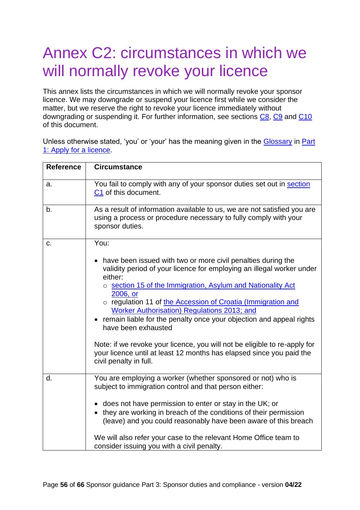## <span id="page-55-0"></span>Annex C2: circumstances in which we will normally revoke your licence

This annex lists the circumstances in which we will normally revoke your sponsor licence. We may downgrade or suspend your licence first while we consider the matter, but we reserve the right to revoke your licence immediately without downgrading or suspending it. For further information, see sections [C8,](#page-36-0) [C9](#page-41-0) and [C10](#page-44-0) of this document.

Unless otherwise stated, 'you' or 'your' has the meaning given in the [Glossary](https://www.gov.uk/government/publications/workers-and-temporary-workers-guidance-for-sponsors-part-1-apply-for-a-licence/workers-and-temporary-workers-guidance-for-sponsors-part-1-apply-for-a-licence-accessible-version#glossary) in [Part](https://www.gov.uk/government/publications/workers-and-temporary-workers-guidance-for-sponsors-part-1-apply-for-a-licence)  [1: Apply for a licence.](https://www.gov.uk/government/publications/workers-and-temporary-workers-guidance-for-sponsors-part-1-apply-for-a-licence)

| <b>Reference</b> | <b>Circumstance</b>                                                                                                                                                         |
|------------------|-----------------------------------------------------------------------------------------------------------------------------------------------------------------------------|
| a.               | You fail to comply with any of your sponsor duties set out in section<br>C1 of this document.                                                                               |
| b.               | As a result of information available to us, we are not satisfied you are<br>using a process or procedure necessary to fully comply with your<br>sponsor duties.             |
| C.               | You:                                                                                                                                                                        |
|                  | have been issued with two or more civil penalties during the<br>validity period of your licence for employing an illegal worker under<br>either:                            |
|                  | o section 15 of the Immigration, Asylum and Nationality Act<br>2006, or                                                                                                     |
|                  | o regulation 11 of the Accession of Croatia (Immigration and<br><b>Worker Authorisation) Regulations 2013; and</b>                                                          |
|                  | remain liable for the penalty once your objection and appeal rights<br>have been exhausted                                                                                  |
|                  | Note: if we revoke your licence, you will not be eligible to re-apply for<br>your licence until at least 12 months has elapsed since you paid the<br>civil penalty in full. |
| d.               | You are employing a worker (whether sponsored or not) who is<br>subject to immigration control and that person either:                                                      |
|                  | • does not have permission to enter or stay in the UK; or                                                                                                                   |
|                  | they are working in breach of the conditions of their permission<br>(leave) and you could reasonably have been aware of this breach                                         |
|                  | We will also refer your case to the relevant Home Office team to<br>consider issuing you with a civil penalty.                                                              |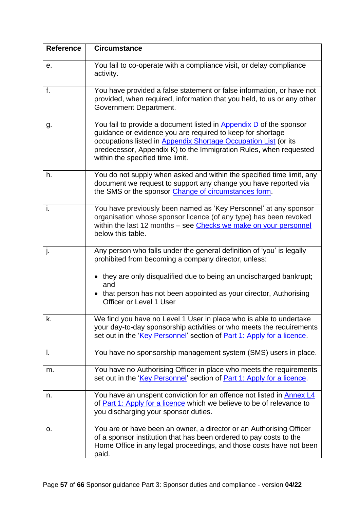| <b>Reference</b> | <b>Circumstance</b>                                                                                                                                                                                                                                                                                          |
|------------------|--------------------------------------------------------------------------------------------------------------------------------------------------------------------------------------------------------------------------------------------------------------------------------------------------------------|
| е.               | You fail to co-operate with a compliance visit, or delay compliance<br>activity.                                                                                                                                                                                                                             |
| f.               | You have provided a false statement or false information, or have not<br>provided, when required, information that you held, to us or any other<br>Government Department.                                                                                                                                    |
| g.               | You fail to provide a document listed in Appendix D of the sponsor<br>guidance or evidence you are required to keep for shortage<br>occupations listed in Appendix Shortage Occupation List (or its<br>predecessor, Appendix K) to the Immigration Rules, when requested<br>within the specified time limit. |
| h.               | You do not supply when asked and within the specified time limit, any<br>document we request to support any change you have reported via<br>the SMS or the sponsor Change of circumstances form.                                                                                                             |
| i.               | You have previously been named as 'Key Personnel' at any sponsor<br>organisation whose sponsor licence (of any type) has been revoked<br>within the last 12 months - see Checks we make on your personnel<br>below this table.                                                                               |
| j.               | Any person who falls under the general definition of 'you' is legally<br>prohibited from becoming a company director, unless:                                                                                                                                                                                |
|                  | they are only disqualified due to being an undischarged bankrupt;<br>and                                                                                                                                                                                                                                     |
|                  | that person has not been appointed as your director, Authorising<br><b>Officer or Level 1 User</b>                                                                                                                                                                                                           |
| k.               | We find you have no Level 1 User in place who is able to undertake<br>your day-to-day sponsorship activities or who meets the requirements<br>set out in the 'Key Personnel' section of Part 1: Apply for a licence.                                                                                         |
| I.               | You have no sponsorship management system (SMS) users in place.                                                                                                                                                                                                                                              |
| m.               | You have no Authorising Officer in place who meets the requirements<br>set out in the 'Key Personnel' section of Part 1: Apply for a licence.                                                                                                                                                                |
| n.               | You have an unspent conviction for an offence not listed in Annex L4<br>of Part 1: Apply for a licence which we believe to be of relevance to<br>you discharging your sponsor duties.                                                                                                                        |
| О.               | You are or have been an owner, a director or an Authorising Officer<br>of a sponsor institution that has been ordered to pay costs to the<br>Home Office in any legal proceedings, and those costs have not been<br>paid.                                                                                    |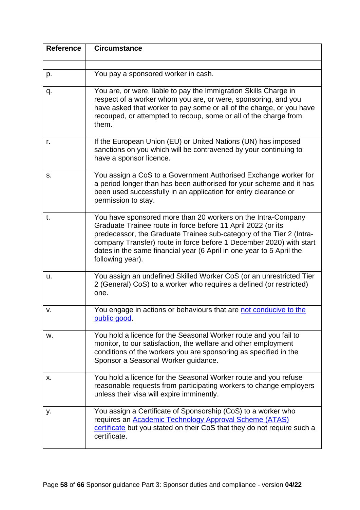| <b>Reference</b> | <b>Circumstance</b>                                                                                                                                                                                                                                                                                                                                                     |
|------------------|-------------------------------------------------------------------------------------------------------------------------------------------------------------------------------------------------------------------------------------------------------------------------------------------------------------------------------------------------------------------------|
|                  |                                                                                                                                                                                                                                                                                                                                                                         |
| p.               | You pay a sponsored worker in cash.                                                                                                                                                                                                                                                                                                                                     |
| q.               | You are, or were, liable to pay the Immigration Skills Charge in<br>respect of a worker whom you are, or were, sponsoring, and you<br>have asked that worker to pay some or all of the charge, or you have<br>recouped, or attempted to recoup, some or all of the charge from<br>them.                                                                                 |
| r.               | If the European Union (EU) or United Nations (UN) has imposed<br>sanctions on you which will be contravened by your continuing to<br>have a sponsor licence.                                                                                                                                                                                                            |
| S.               | You assign a CoS to a Government Authorised Exchange worker for<br>a period longer than has been authorised for your scheme and it has<br>been used successfully in an application for entry clearance or<br>permission to stay.                                                                                                                                        |
| t.               | You have sponsored more than 20 workers on the Intra-Company<br>Graduate Trainee route in force before 11 April 2022 (or its<br>predecessor, the Graduate Trainee sub-category of the Tier 2 (Intra-<br>company Transfer) route in force before 1 December 2020) with start<br>dates in the same financial year (6 April in one year to 5 April the<br>following year). |
| u.               | You assign an undefined Skilled Worker CoS (or an unrestricted Tier<br>2 (General) CoS) to a worker who requires a defined (or restricted)<br>one.                                                                                                                                                                                                                      |
| v.               | You engage in actions or behaviours that are not conducive to the<br>public good.                                                                                                                                                                                                                                                                                       |
| w.               | You hold a licence for the Seasonal Worker route and you fail to<br>monitor, to our satisfaction, the welfare and other employment<br>conditions of the workers you are sponsoring as specified in the<br>Sponsor a Seasonal Worker guidance.                                                                                                                           |
| х.               | You hold a licence for the Seasonal Worker route and you refuse<br>reasonable requests from participating workers to change employers<br>unless their visa will expire imminently.                                                                                                                                                                                      |
| у.               | You assign a Certificate of Sponsorship (CoS) to a worker who<br>requires an <b>Academic Technology Approval Scheme (ATAS)</b><br>certificate but you stated on their CoS that they do not require such a<br>certificate.                                                                                                                                               |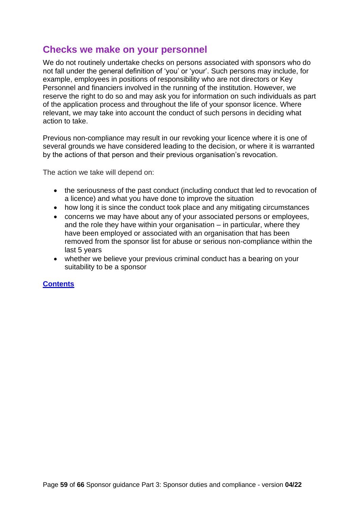## <span id="page-58-0"></span>**Checks we make on your personnel**

We do not routinely undertake checks on persons associated with sponsors who do not fall under the general definition of 'you' or 'your'. Such persons may include, for example, employees in positions of responsibility who are not directors or Key Personnel and financiers involved in the running of the institution. However, we reserve the right to do so and may ask you for information on such individuals as part of the application process and throughout the life of your sponsor licence. Where relevant, we may take into account the conduct of such persons in deciding what action to take.

Previous non-compliance may result in our revoking your licence where it is one of several grounds we have considered leading to the decision, or where it is warranted by the actions of that person and their previous organisation's revocation.

The action we take will depend on:

- the seriousness of the past conduct (including conduct that led to revocation of a licence) and what you have done to improve the situation
- how long it is since the conduct took place and any mitigating circumstances
- concerns we may have about any of your associated persons or employees, and the role they have within your organisation – in particular, where they have been employed or associated with an organisation that has been removed from the sponsor list for abuse or serious non-compliance within the last 5 years
- <span id="page-58-1"></span>• whether we believe your previous criminal conduct has a bearing on your suitability to be a sponsor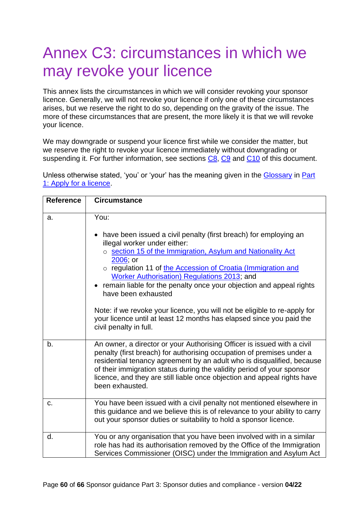## <span id="page-59-0"></span>Annex C3: circumstances in which we may revoke your licence

This annex lists the circumstances in which we will consider revoking your sponsor licence. Generally, we will not revoke your licence if only one of these circumstances arises, but we reserve the right to do so, depending on the gravity of the issue. The more of these circumstances that are present, the more likely it is that we will revoke your licence.

We may downgrade or suspend your licence first while we consider the matter, but we reserve the right to revoke your licence immediately without downgrading or suspending it. For further information, see sections [C8,](#page-36-0) [C9](#page-41-0) and [C10](#page-44-0) of this document.

Unless otherwise stated, 'you' or 'your' has the meaning given in the [Glossary](https://www.gov.uk/government/publications/workers-and-temporary-workers-guidance-for-sponsors-part-1-apply-for-a-licence/workers-and-temporary-workers-guidance-for-sponsors-part-1-apply-for-a-licence-accessible-version#glossary) in [Part](https://www.gov.uk/government/publications/workers-and-temporary-workers-guidance-for-sponsors-part-1-apply-for-a-licence)  [1: Apply for a licence.](https://www.gov.uk/government/publications/workers-and-temporary-workers-guidance-for-sponsors-part-1-apply-for-a-licence)

| <b>Reference</b> | <b>Circumstance</b>                                                                                                                                                                                                                                                                                                                                                                                                                                                                                                                                          |
|------------------|--------------------------------------------------------------------------------------------------------------------------------------------------------------------------------------------------------------------------------------------------------------------------------------------------------------------------------------------------------------------------------------------------------------------------------------------------------------------------------------------------------------------------------------------------------------|
| a.               | You:<br>have been issued a civil penalty (first breach) for employing an<br>illegal worker under either:<br>o section 15 of the Immigration, Asylum and Nationality Act<br>2006; or<br>o regulation 11 of the Accession of Croatia (Immigration and<br><b>Worker Authorisation) Regulations 2013; and</b><br>remain liable for the penalty once your objection and appeal rights<br>have been exhausted<br>Note: if we revoke your licence, you will not be eligible to re-apply for<br>your licence until at least 12 months has elapsed since you paid the |
|                  | civil penalty in full.                                                                                                                                                                                                                                                                                                                                                                                                                                                                                                                                       |
| b.               | An owner, a director or your Authorising Officer is issued with a civil<br>penalty (first breach) for authorising occupation of premises under a<br>residential tenancy agreement by an adult who is disqualified, because<br>of their immigration status during the validity period of your sponsor<br>licence, and they are still liable once objection and appeal rights have<br>been exhausted.                                                                                                                                                          |
| c.               | You have been issued with a civil penalty not mentioned elsewhere in<br>this guidance and we believe this is of relevance to your ability to carry<br>out your sponsor duties or suitability to hold a sponsor licence.                                                                                                                                                                                                                                                                                                                                      |
| d.               | You or any organisation that you have been involved with in a similar<br>role has had its authorisation removed by the Office of the Immigration<br>Services Commissioner (OISC) under the Immigration and Asylum Act                                                                                                                                                                                                                                                                                                                                        |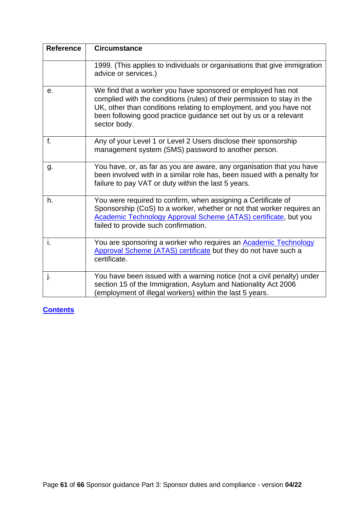| <b>Reference</b> | <b>Circumstance</b>                                                                                                                                                                                                                                                                                |
|------------------|----------------------------------------------------------------------------------------------------------------------------------------------------------------------------------------------------------------------------------------------------------------------------------------------------|
|                  | 1999. (This applies to individuals or organisations that give immigration<br>advice or services.)                                                                                                                                                                                                  |
| е.               | We find that a worker you have sponsored or employed has not<br>complied with the conditions (rules) of their permission to stay in the<br>UK, other than conditions relating to employment, and you have not<br>been following good practice guidance set out by us or a relevant<br>sector body. |
| f.               | Any of your Level 1 or Level 2 Users disclose their sponsorship<br>management system (SMS) password to another person.                                                                                                                                                                             |
| g.               | You have, or, as far as you are aware, any organisation that you have<br>been involved with in a similar role has, been issued with a penalty for<br>failure to pay VAT or duty within the last 5 years.                                                                                           |
| h.               | You were required to confirm, when assigning a Certificate of<br>Sponsorship (CoS) to a worker, whether or not that worker requires an<br>Academic Technology Approval Scheme (ATAS) certificate, but you<br>failed to provide such confirmation.                                                  |
| i.               | You are sponsoring a worker who requires an <b>Academic Technology</b><br>Approval Scheme (ATAS) certificate but they do not have such a<br>certificate.                                                                                                                                           |
| j.               | You have been issued with a warning notice (not a civil penalty) under<br>section 15 of the Immigration, Asylum and Nationality Act 2006<br>(employment of illegal workers) within the last 5 years.                                                                                               |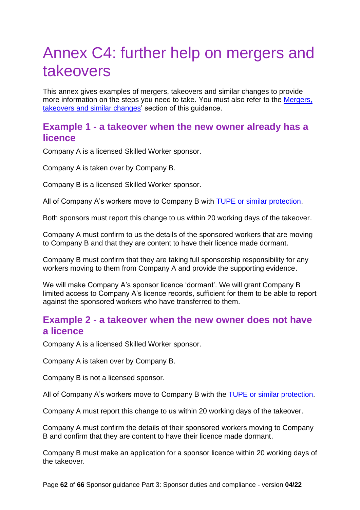## <span id="page-61-0"></span>Annex C4: further help on mergers and takeovers

This annex gives examples of mergers, takeovers and similar changes to provide more information on the steps you need to take. You must also refer to the Mergers, [takeovers and similar changes'](#page-20-2) section of this guidance.

## <span id="page-61-1"></span>**Example 1 - a takeover when the new owner already has a licence**

Company A is a licensed Skilled Worker sponsor.

Company A is taken over by Company B.

Company B is a licensed Skilled Worker sponsor.

All of Company A's workers move to Company B with [TUPE or similar protection.](#page-21-2)

Both sponsors must report this change to us within 20 working days of the takeover.

Company A must confirm to us the details of the sponsored workers that are moving to Company B and that they are content to have their licence made dormant.

Company B must confirm that they are taking full sponsorship responsibility for any workers moving to them from Company A and provide the supporting evidence.

We will make Company A's sponsor licence 'dormant'. We will grant Company B limited access to Company A's licence records, sufficient for them to be able to report against the sponsored workers who have transferred to them.

## <span id="page-61-2"></span>**Example 2 - a takeover when the new owner does not have a licence**

Company A is a licensed Skilled Worker sponsor.

Company A is taken over by Company B.

Company B is not a licensed sponsor.

All of Company A's workers move to Company B with the [TUPE or similar protection.](#page-21-2)

Company A must report this change to us within 20 working days of the takeover.

Company A must confirm the details of their sponsored workers moving to Company B and confirm that they are content to have their licence made dormant.

Company B must make an application for a sponsor licence within 20 working days of the takeover.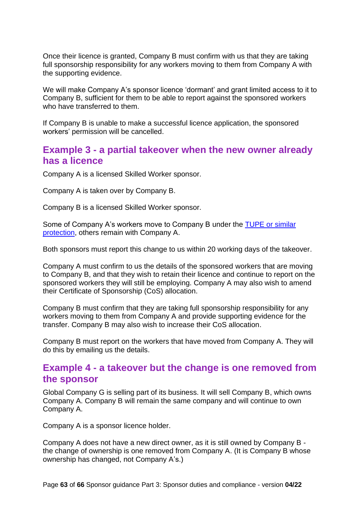Once their licence is granted, Company B must confirm with us that they are taking full sponsorship responsibility for any workers moving to them from Company A with the supporting evidence.

We will make Company A's sponsor licence 'dormant' and grant limited access to it to Company B, sufficient for them to be able to report against the sponsored workers who have transferred to them.

If Company B is unable to make a successful licence application, the sponsored workers' permission will be cancelled.

## <span id="page-62-0"></span>**Example 3 - a partial takeover when the new owner already has a licence**

Company A is a licensed Skilled Worker sponsor.

Company A is taken over by Company B.

Company B is a licensed Skilled Worker sponsor.

Some of Company A's workers move to Company B under the [TUPE or similar](#page-21-2)  [protection,](#page-21-2) others remain with Company A.

Both sponsors must report this change to us within 20 working days of the takeover.

Company A must confirm to us the details of the sponsored workers that are moving to Company B, and that they wish to retain their licence and continue to report on the sponsored workers they will still be employing. Company A may also wish to amend their Certificate of Sponsorship (CoS) allocation.

Company B must confirm that they are taking full sponsorship responsibility for any workers moving to them from Company A and provide supporting evidence for the transfer. Company B may also wish to increase their CoS allocation.

Company B must report on the workers that have moved from Company A. They will do this by emailing us the details.

## <span id="page-62-1"></span>**Example 4 - a takeover but the change is one removed from the sponsor**

Global Company G is selling part of its business. It will sell Company B, which owns Company A. Company B will remain the same company and will continue to own Company A.

Company A is a sponsor licence holder.

Company A does not have a new direct owner, as it is still owned by Company B the change of ownership is one removed from Company A. (It is Company B whose ownership has changed, not Company A's.)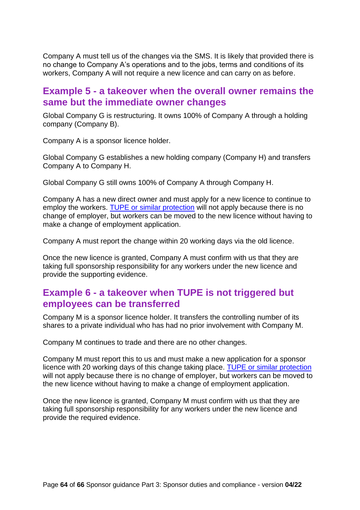Company A must tell us of the changes via the SMS. It is likely that provided there is no change to Company A's operations and to the jobs, terms and conditions of its workers, Company A will not require a new licence and can carry on as before.

## <span id="page-63-0"></span>**Example 5 - a takeover when the overall owner remains the same but the immediate owner changes**

Global Company G is restructuring. It owns 100% of Company A through a holding company (Company B).

Company A is a sponsor licence holder.

Global Company G establishes a new holding company (Company H) and transfers Company A to Company H.

Global Company G still owns 100% of Company A through Company H.

Company A has a new direct owner and must apply for a new licence to continue to employ the workers. [TUPE or similar protection](#page-21-2) will not apply because there is no change of employer, but workers can be moved to the new licence without having to make a change of employment application.

Company A must report the change within 20 working days via the old licence.

Once the new licence is granted, Company A must confirm with us that they are taking full sponsorship responsibility for any workers under the new licence and provide the supporting evidence.

## <span id="page-63-1"></span>**Example 6 - a takeover when TUPE is not triggered but employees can be transferred**

Company M is a sponsor licence holder. It transfers the controlling number of its shares to a private individual who has had no prior involvement with Company M.

Company M continues to trade and there are no other changes.

Company M must report this to us and must make a new application for a sponsor licence with 20 working days of this change taking place. [TUPE or similar protection](#page-21-2) will not apply because there is no change of employer, but workers can be moved to the new licence without having to make a change of employment application.

Once the new licence is granted, Company M must confirm with us that they are taking full sponsorship responsibility for any workers under the new licence and provide the required evidence.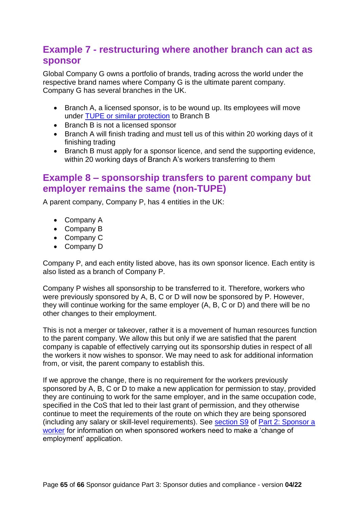## <span id="page-64-0"></span>**Example 7 - restructuring where another branch can act as sponsor**

Global Company G owns a portfolio of brands, trading across the world under the respective brand names where Company G is the ultimate parent company. Company G has several branches in the UK.

- Branch A, a licensed sponsor, is to be wound up. Its employees will move under [TUPE or similar protection](#page-21-2) to Branch B
- Branch B is not a licensed sponsor
- Branch A will finish trading and must tell us of this within 20 working days of it finishing trading
- Branch B must apply for a sponsor licence, and send the supporting evidence, within 20 working days of Branch A's workers transferring to them

## <span id="page-64-1"></span>**Example 8 – sponsorship transfers to parent company but employer remains the same (non-TUPE)**

A parent company, Company P, has 4 entities in the UK:

- Company A
- Company B
- Company C
- Company D

Company P, and each entity listed above, has its own sponsor licence. Each entity is also listed as a branch of Company P.

Company P wishes all sponsorship to be transferred to it. Therefore, workers who were previously sponsored by A, B, C or D will now be sponsored by P. However, they will continue working for the same employer (A, B, C or D) and there will be no other changes to their employment.

This is not a merger or takeover, rather it is a movement of human resources function to the parent company. We allow this but only if we are satisfied that the parent company is capable of effectively carrying out its sponsorship duties in respect of all the workers it now wishes to sponsor. We may need to ask for additional information from, or visit, the parent company to establish this.

If we approve the change, there is no requirement for the workers previously sponsored by A, B, C or D to make a new application for permission to stay, provided they are continuing to work for the same employer, and in the same occupation code, specified in the CoS that led to their last grant of permission, and they otherwise continue to meet the requirements of the route on which they are being sponsored (including any salary or skill-level requirements). See [section S9](https://www.gov.uk/government/publications/workers-and-temporary-workers-guidance-for-sponsors-part-2-sponsor-a-worker/workers-and-temporary-workers-guidance-for-sponsors-part-2-sponsor-a-worker-general-information-accessible-version#S9) of [Part 2: Sponsor a](https://www.gov.uk/government/publications/workers-and-temporary-workers-guidance-for-sponsors-part-2-sponsor-a-worker)  [worker](https://www.gov.uk/government/publications/workers-and-temporary-workers-guidance-for-sponsors-part-2-sponsor-a-worker) for information on when sponsored workers need to make a 'change of employment' application.